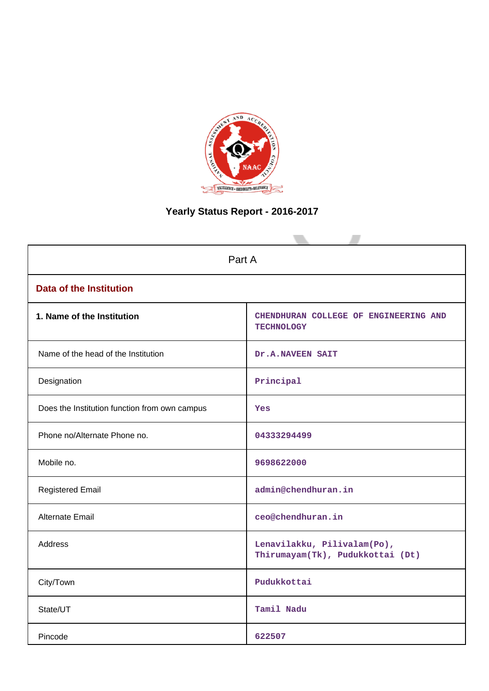

# **Yearly Status Report - 2016-2017**

| Part A                                        |                                                                 |  |  |  |  |
|-----------------------------------------------|-----------------------------------------------------------------|--|--|--|--|
| <b>Data of the Institution</b>                |                                                                 |  |  |  |  |
| 1. Name of the Institution                    | CHENDHURAN COLLEGE OF ENGINEERING AND<br><b>TECHNOLOGY</b>      |  |  |  |  |
| Name of the head of the Institution           | Dr.A.NAVEEN SAIT                                                |  |  |  |  |
| Designation                                   | Principal                                                       |  |  |  |  |
| Does the Institution function from own campus | Yes                                                             |  |  |  |  |
| Phone no/Alternate Phone no.                  | 04333294499                                                     |  |  |  |  |
| Mobile no.                                    | 9698622000                                                      |  |  |  |  |
| <b>Registered Email</b>                       | admin@chendhuran.in                                             |  |  |  |  |
| Alternate Email                               | ceo@chendhuran.in                                               |  |  |  |  |
| <b>Address</b>                                | Lenavilakku, Pilivalam(Po),<br>Thirumayam(Tk), Pudukkottai (Dt) |  |  |  |  |
| City/Town                                     | Pudukkottai                                                     |  |  |  |  |
| State/UT                                      | Tamil Nadu                                                      |  |  |  |  |
| Pincode                                       | 622507                                                          |  |  |  |  |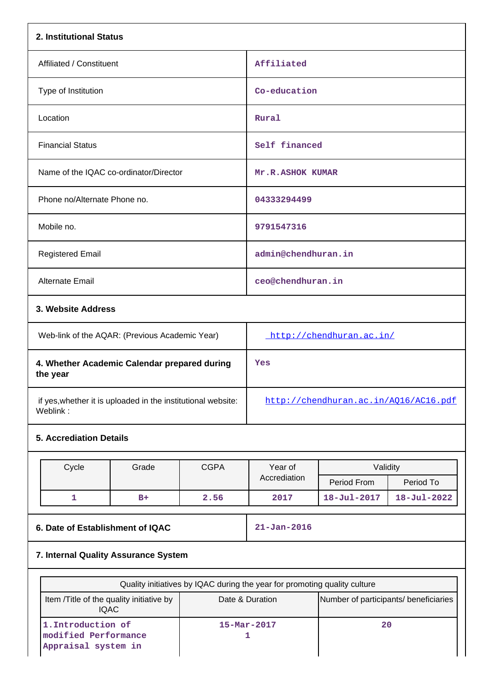| 2. Institutional Status                                                   |                                                         |             |                                       |                                                          |                   |  |  |
|---------------------------------------------------------------------------|---------------------------------------------------------|-------------|---------------------------------------|----------------------------------------------------------|-------------------|--|--|
| Affiliated / Constituent                                                  |                                                         |             | Affiliated                            |                                                          |                   |  |  |
| Type of Institution                                                       |                                                         |             | Co-education                          |                                                          |                   |  |  |
| Location                                                                  |                                                         |             | Rural                                 |                                                          |                   |  |  |
| <b>Financial Status</b>                                                   |                                                         |             | Self financed                         |                                                          |                   |  |  |
| Name of the IQAC co-ordinator/Director                                    |                                                         |             | Mr.R.ASHOK KUMAR                      |                                                          |                   |  |  |
| Phone no/Alternate Phone no.                                              |                                                         |             | 04333294499                           |                                                          |                   |  |  |
| Mobile no.                                                                |                                                         |             | 9791547316                            |                                                          |                   |  |  |
| <b>Registered Email</b>                                                   |                                                         |             | admin@chendhuran.in                   |                                                          |                   |  |  |
| Alternate Email                                                           |                                                         |             | ceo@chendhuran.in                     |                                                          |                   |  |  |
| 3. Website Address                                                        |                                                         |             |                                       |                                                          |                   |  |  |
| Web-link of the AQAR: (Previous Academic Year)                            |                                                         |             | http://chendhuran.ac.in/              |                                                          |                   |  |  |
| 4. Whether Academic Calendar prepared during<br>the year                  |                                                         |             | Yes                                   |                                                          |                   |  |  |
| if yes, whether it is uploaded in the institutional website:<br>Weblink:  |                                                         |             | http://chendhuran.ac.in/AQ16/AC16.pdf |                                                          |                   |  |  |
| <b>5. Accrediation Details</b>                                            |                                                         |             |                                       |                                                          |                   |  |  |
| Cycle                                                                     | Grade                                                   | <b>CGPA</b> | Year of                               | Validity                                                 |                   |  |  |
|                                                                           |                                                         |             | Accrediation                          | Period From                                              | Period To         |  |  |
| 1                                                                         | $B+$                                                    | 2.56        | 2017                                  | 18-Jul-2017                                              | $18 - Jul - 2022$ |  |  |
| 6. Date of Establishment of IQAC                                          |                                                         |             | $21 - Jan - 2016$                     |                                                          |                   |  |  |
| 7. Internal Quality Assurance System                                      |                                                         |             |                                       |                                                          |                   |  |  |
| Quality initiatives by IQAC during the year for promoting quality culture |                                                         |             |                                       |                                                          |                   |  |  |
|                                                                           | Item /Title of the quality initiative by<br><b>IQAC</b> |             |                                       | Date & Duration<br>Number of participants/ beneficiaries |                   |  |  |
| 1. Introduction of<br>modified Performance<br>Appraisal system in         |                                                         |             | $15 - \text{Mar} - 2017$<br>1         | 20                                                       |                   |  |  |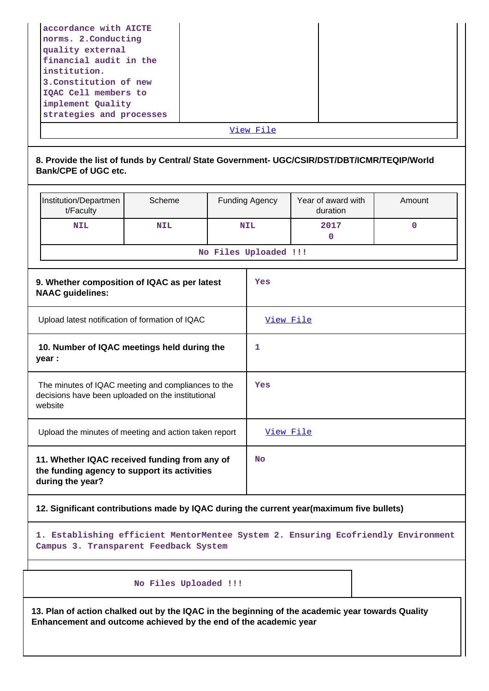| accordance with AICTE    |  |  |  |  |
|--------------------------|--|--|--|--|
| norms. 2. Conducting     |  |  |  |  |
| quality external         |  |  |  |  |
| financial audit in the   |  |  |  |  |
| institution.             |  |  |  |  |
| 3. Constitution of new   |  |  |  |  |
| IQAC Cell members to     |  |  |  |  |
| implement Quality        |  |  |  |  |
| strategies and processes |  |  |  |  |
| View File                |  |  |  |  |

## **8. Provide the list of funds by Central/ State Government- UGC/CSIR/DST/DBT/ICMR/TEQIP/World Bank/CPE of UGC etc.**

|                                                                                                                    | Institution/Departmen<br>t/Faculty                                                                                | Scheme     |  | <b>Funding Agency</b> | Year of award with<br>duration | Amount      |
|--------------------------------------------------------------------------------------------------------------------|-------------------------------------------------------------------------------------------------------------------|------------|--|-----------------------|--------------------------------|-------------|
|                                                                                                                    | <b>NIL</b>                                                                                                        | <b>NIL</b> |  | <b>NIL</b>            | 2017<br>0                      | $\mathbf 0$ |
|                                                                                                                    |                                                                                                                   |            |  | No Files Uploaded !!! |                                |             |
|                                                                                                                    | 9. Whether composition of IQAC as per latest<br><b>NAAC</b> guidelines:                                           |            |  | Yes                   |                                |             |
| Upload latest notification of formation of IQAC                                                                    |                                                                                                                   |            |  | View File             |                                |             |
| 10. Number of IQAC meetings held during the<br>year :                                                              |                                                                                                                   |            |  | 1                     |                                |             |
| The minutes of IQAC meeting and compliances to the<br>decisions have been uploaded on the institutional<br>website |                                                                                                                   |            |  | Yes                   |                                |             |
| Upload the minutes of meeting and action taken report                                                              |                                                                                                                   |            |  | View File             |                                |             |
|                                                                                                                    | 11. Whether IQAC received funding from any of<br>the funding agency to support its activities<br>during the year? |            |  | <b>No</b>             |                                |             |

## **12. Significant contributions made by IQAC during the current year(maximum five bullets)**

**1. Establishing efficient MentorMentee System 2. Ensuring Ecofriendly Environment Campus 3. Transparent Feedback System**

## **No Files Uploaded !!!**

**13. Plan of action chalked out by the IQAC in the beginning of the academic year towards Quality Enhancement and outcome achieved by the end of the academic year**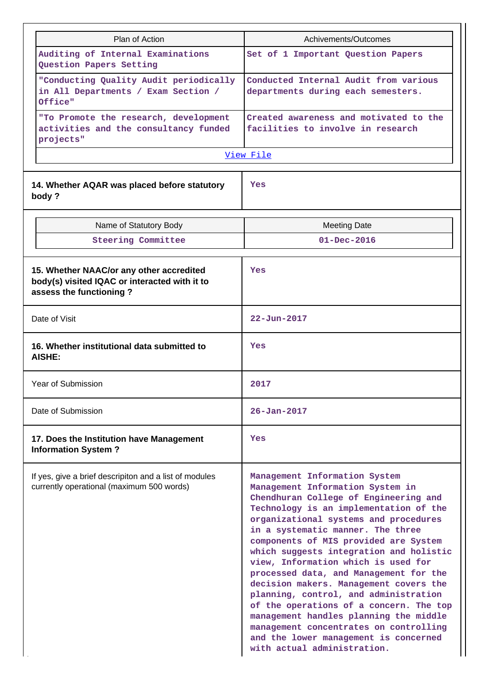| Plan of Action                                                                                                       | Achivements/Outcomes                                                                                                                                                                                                                                                                                                                                                                                                                                                                                                                                                                                                                                                                              |  |  |  |
|----------------------------------------------------------------------------------------------------------------------|---------------------------------------------------------------------------------------------------------------------------------------------------------------------------------------------------------------------------------------------------------------------------------------------------------------------------------------------------------------------------------------------------------------------------------------------------------------------------------------------------------------------------------------------------------------------------------------------------------------------------------------------------------------------------------------------------|--|--|--|
| Auditing of Internal Examinations<br>Question Papers Setting                                                         | Set of 1 Important Question Papers                                                                                                                                                                                                                                                                                                                                                                                                                                                                                                                                                                                                                                                                |  |  |  |
| "Conducting Quality Audit periodically<br>in All Departments / Exam Section /<br>Office"                             | Conducted Internal Audit from various<br>departments during each semesters.                                                                                                                                                                                                                                                                                                                                                                                                                                                                                                                                                                                                                       |  |  |  |
| "To Promote the research, development<br>activities and the consultancy funded<br>projects"                          | Created awareness and motivated to the<br>facilities to involve in research                                                                                                                                                                                                                                                                                                                                                                                                                                                                                                                                                                                                                       |  |  |  |
|                                                                                                                      | View File                                                                                                                                                                                                                                                                                                                                                                                                                                                                                                                                                                                                                                                                                         |  |  |  |
| 14. Whether AQAR was placed before statutory<br>body?                                                                | Yes                                                                                                                                                                                                                                                                                                                                                                                                                                                                                                                                                                                                                                                                                               |  |  |  |
| Name of Statutory Body                                                                                               | <b>Meeting Date</b>                                                                                                                                                                                                                                                                                                                                                                                                                                                                                                                                                                                                                                                                               |  |  |  |
| <b>Steering Committee</b>                                                                                            | $01 - Dec - 2016$                                                                                                                                                                                                                                                                                                                                                                                                                                                                                                                                                                                                                                                                                 |  |  |  |
| 15. Whether NAAC/or any other accredited<br>body(s) visited IQAC or interacted with it to<br>assess the functioning? | Yes                                                                                                                                                                                                                                                                                                                                                                                                                                                                                                                                                                                                                                                                                               |  |  |  |
| Date of Visit                                                                                                        | 22-Jun-2017                                                                                                                                                                                                                                                                                                                                                                                                                                                                                                                                                                                                                                                                                       |  |  |  |
| 16. Whether institutional data submitted to<br>AISHE:                                                                | Yes                                                                                                                                                                                                                                                                                                                                                                                                                                                                                                                                                                                                                                                                                               |  |  |  |
| Year of Submission                                                                                                   | 2017                                                                                                                                                                                                                                                                                                                                                                                                                                                                                                                                                                                                                                                                                              |  |  |  |
| Date of Submission                                                                                                   | $26 - Jan - 2017$                                                                                                                                                                                                                                                                                                                                                                                                                                                                                                                                                                                                                                                                                 |  |  |  |
| 17. Does the Institution have Management<br><b>Information System?</b>                                               | Yes                                                                                                                                                                                                                                                                                                                                                                                                                                                                                                                                                                                                                                                                                               |  |  |  |
| If yes, give a brief descripiton and a list of modules<br>currently operational (maximum 500 words)                  | Management Information System<br>Management Information System in<br>Chendhuran College of Engineering and<br>Technology is an implementation of the<br>organizational systems and procedures<br>in a systematic manner. The three<br>components of MIS provided are System<br>which suggests integration and holistic<br>view, Information which is used for<br>processed data, and Management for the<br>decision makers. Management covers the<br>planning, control, and administration<br>of the operations of a concern. The top<br>management handles planning the middle<br>management concentrates on controlling<br>and the lower management is concerned<br>with actual administration. |  |  |  |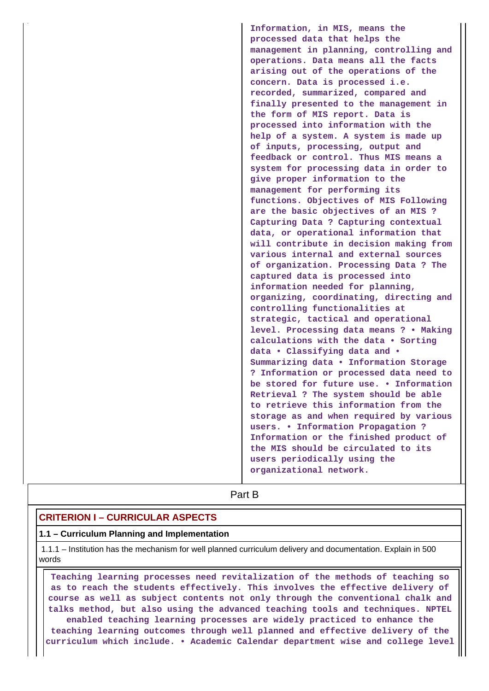**Information, in MIS, means the processed data that helps the management in planning, controlling and operations. Data means all the facts arising out of the operations of the concern. Data is processed i.e. recorded, summarized, compared and finally presented to the management in the form of MIS report. Data is processed into information with the help of a system. A system is made up of inputs, processing, output and feedback or control. Thus MIS means a system for processing data in order to give proper information to the management for performing its functions. Objectives of MIS Following are the basic objectives of an MIS ? Capturing Data ? Capturing contextual data, or operational information that will contribute in decision making from various internal and external sources of organization. Processing Data ? The captured data is processed into information needed for planning, organizing, coordinating, directing and controlling functionalities at strategic, tactical and operational level. Processing data means ? • Making calculations with the data • Sorting data • Classifying data and • Summarizing data • Information Storage ? Information or processed data need to be stored for future use. • Information Retrieval ? The system should be able to retrieve this information from the storage as and when required by various users. • Information Propagation ? Information or the finished product of the MIS should be circulated to its users periodically using the organizational network.**

# **Part B**

# **CRITERION I – CURRICULAR ASPECTS**

### **1.1 – Curriculum Planning and Implementation**

 1.1.1 – Institution has the mechanism for well planned curriculum delivery and documentation. Explain in 500 words

 **Teaching learning processes need revitalization of the methods of teaching so as to reach the students effectively. This involves the effective delivery of course as well as subject contents not only through the conventional chalk and talks method, but also using the advanced teaching tools and techniques. NPTEL enabled teaching learning processes are widely practiced to enhance the teaching learning outcomes through well planned and effective delivery of the curriculum which include. • Academic Calendar department wise and college level**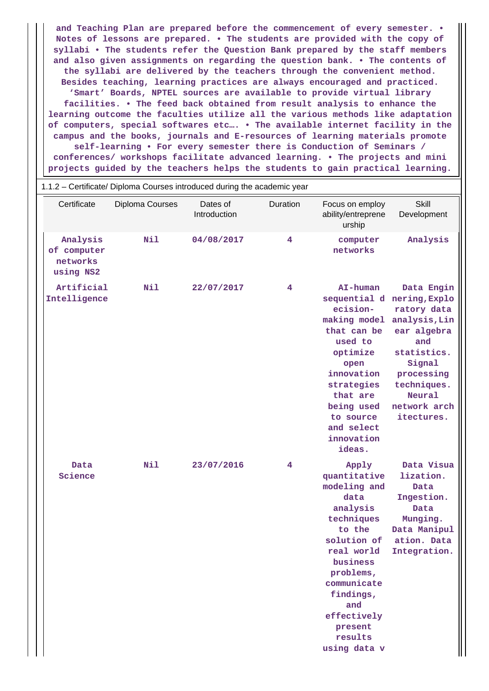**and Teaching Plan are prepared before the commencement of every semester. • Notes of lessons are prepared. • The students are provided with the copy of syllabi • The students refer the Question Bank prepared by the staff members and also given assignments on regarding the question bank. • The contents of the syllabi are delivered by the teachers through the convenient method. Besides teaching, learning practices are always encouraged and practiced. 'Smart' Boards, NPTEL sources are available to provide virtual library facilities. • The feed back obtained from result analysis to enhance the learning outcome the faculties utilize all the various methods like adaptation of computers, special softwares etc…. • The available internet facility in the campus and the books, journals and E-resources of learning materials promote self-learning • For every semester there is Conduction of Seminars / conferences/ workshops facilitate advanced learning. • The projects and mini projects guided by the teachers helps the students to gain practical learning.**

|                                                  | 1.1.2 - Certificate/ Diploma Courses introduced during the academic year |                          |          |                                                                                                                                                                                                                                 |                                                                                                                                                                                                     |
|--------------------------------------------------|--------------------------------------------------------------------------|--------------------------|----------|---------------------------------------------------------------------------------------------------------------------------------------------------------------------------------------------------------------------------------|-----------------------------------------------------------------------------------------------------------------------------------------------------------------------------------------------------|
| Certificate                                      | Diploma Courses                                                          | Dates of<br>Introduction | Duration | Focus on employ<br>ability/entreprene<br>urship                                                                                                                                                                                 | <b>Skill</b><br>Development                                                                                                                                                                         |
| Analysis<br>of computer<br>networks<br>using NS2 | Nil                                                                      | 04/08/2017               | 4        | computer<br>networks                                                                                                                                                                                                            | Analysis                                                                                                                                                                                            |
| Artificial<br>Intelligence                       | Nil                                                                      | 22/07/2017               | 4        | AI-human<br>ecision-<br>making model<br>that can be<br>used to<br>optimize<br>open<br>innovation<br>strategies<br>that are<br>being used<br>to source<br>and select<br>innovation<br>ideas.                                     | Data Engin<br>sequential d nering, Explo<br>ratory data<br>analysis, Lin<br>ear algebra<br>and<br>statistics.<br>Signal<br>processing<br>techniques.<br><b>Neural</b><br>network arch<br>itectures. |
| Data<br>Science                                  | Nil                                                                      | 23/07/2016               | 4        | Apply<br>quantitative<br>modeling and<br>data<br>analysis<br>techniques<br>to the<br>solution of<br>real world<br>business<br>problems,<br>communicate<br>findings,<br>and<br>effectively<br>present<br>results<br>using data v | Data Visua<br>lization.<br>Data<br>Ingestion.<br>Data<br>Munging.<br>Data Manipul<br>ation. Data<br>Integration.                                                                                    |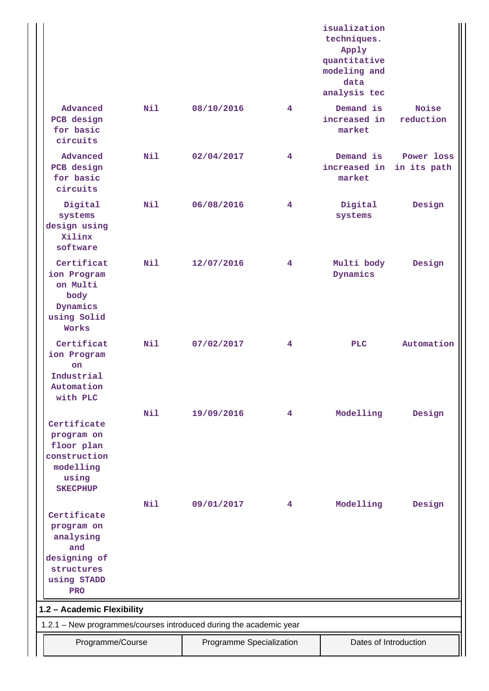|                                                                                                          |     |                          |   | isualization<br>techniques.<br>Apply<br>quantitative<br>modeling and<br>data<br>analysis tec |                           |
|----------------------------------------------------------------------------------------------------------|-----|--------------------------|---|----------------------------------------------------------------------------------------------|---------------------------|
| Advanced<br>PCB design<br>for basic<br>circuits                                                          | Nil | 08/10/2016               | 4 | Demand is<br>increased in<br>market                                                          | Noise<br>reduction        |
| Advanced<br>PCB design<br>for basic<br>circuits                                                          | Nil | 02/04/2017               | 4 | Demand is<br>increased in<br>market                                                          | Power loss<br>in its path |
| Digital<br>systems<br>design using<br>Xilinx<br>software                                                 | Nil | 06/08/2016               | 4 | Digital<br>systems                                                                           | Design                    |
| Certificat<br>ion Program<br>on Multi<br>body<br>Dynamics<br>using Solid<br>Works                        | N11 | 12/07/2016               | 4 | Multi body<br>Dynamics                                                                       | Design                    |
| Certificat<br>ion Program<br><b>on</b><br>Industrial<br>Automation<br>with PLC                           | N11 | 07/02/2017               | 4 | <b>PLC</b>                                                                                   | Automation                |
| Certificate<br>program on<br>floor plan<br>construction<br>modelling<br>using<br><b>SKECPHUP</b>         | Nil | 19/09/2016               | 4 | Modelling                                                                                    | Design                    |
| Certificate<br>program on<br>analysing<br>and<br>designing of<br>structures<br>using STADD<br><b>PRO</b> | Nil | 09/01/2017               | 4 | Modelling                                                                                    | Design                    |
| 1.2 - Academic Flexibility                                                                               |     |                          |   |                                                                                              |                           |
| 1.2.1 - New programmes/courses introduced during the academic year<br>Programme/Course                   |     | Programme Specialization |   | Dates of Introduction                                                                        |                           |
|                                                                                                          |     |                          |   |                                                                                              |                           |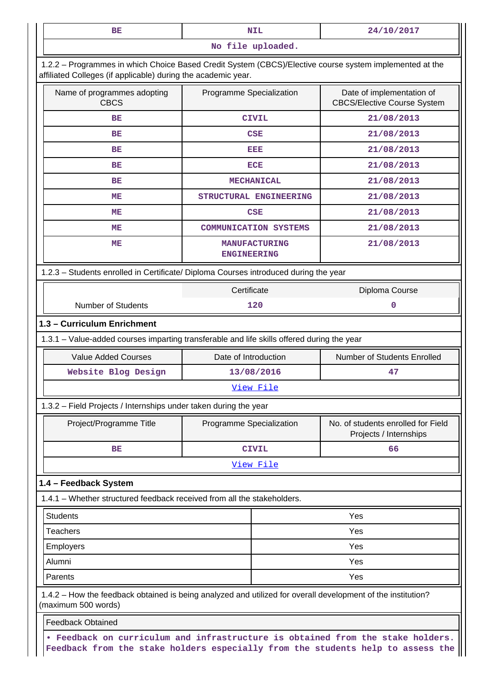| BE                                                                                                                                                                       | <b>NIL</b>                                                                                                                                                         | 24/10/2017                                                      |  |  |  |  |  |
|--------------------------------------------------------------------------------------------------------------------------------------------------------------------------|--------------------------------------------------------------------------------------------------------------------------------------------------------------------|-----------------------------------------------------------------|--|--|--|--|--|
|                                                                                                                                                                          | No file uploaded.                                                                                                                                                  |                                                                 |  |  |  |  |  |
| 1.2.2 - Programmes in which Choice Based Credit System (CBCS)/Elective course system implemented at the<br>affiliated Colleges (if applicable) during the academic year. |                                                                                                                                                                    |                                                                 |  |  |  |  |  |
| Name of programmes adopting<br><b>CBCS</b>                                                                                                                               | Programme Specialization                                                                                                                                           | Date of implementation of<br><b>CBCS/Elective Course System</b> |  |  |  |  |  |
| BE                                                                                                                                                                       | <b>CIVIL</b>                                                                                                                                                       | 21/08/2013                                                      |  |  |  |  |  |
| ВE                                                                                                                                                                       | CSE                                                                                                                                                                | 21/08/2013                                                      |  |  |  |  |  |
| BE                                                                                                                                                                       | EEE                                                                                                                                                                | 21/08/2013                                                      |  |  |  |  |  |
| BE                                                                                                                                                                       | <b>ECE</b>                                                                                                                                                         | 21/08/2013                                                      |  |  |  |  |  |
| ВE                                                                                                                                                                       | <b>MECHANICAL</b>                                                                                                                                                  | 21/08/2013                                                      |  |  |  |  |  |
| MЕ                                                                                                                                                                       | STRUCTURAL ENGINEERING                                                                                                                                             | 21/08/2013                                                      |  |  |  |  |  |
| ME                                                                                                                                                                       | <b>CSE</b>                                                                                                                                                         | 21/08/2013                                                      |  |  |  |  |  |
| ME                                                                                                                                                                       | <b>COMMUNICATION SYSTEMS</b>                                                                                                                                       | 21/08/2013                                                      |  |  |  |  |  |
| MЕ                                                                                                                                                                       | <b>MANUFACTURING</b><br><b>ENGINEERING</b>                                                                                                                         | 21/08/2013                                                      |  |  |  |  |  |
|                                                                                                                                                                          | 1.2.3 - Students enrolled in Certificate/ Diploma Courses introduced during the year                                                                               |                                                                 |  |  |  |  |  |
|                                                                                                                                                                          | Certificate                                                                                                                                                        | Diploma Course                                                  |  |  |  |  |  |
| <b>Number of Students</b>                                                                                                                                                | 120                                                                                                                                                                | 0                                                               |  |  |  |  |  |
| 1.3 - Curriculum Enrichment                                                                                                                                              |                                                                                                                                                                    |                                                                 |  |  |  |  |  |
|                                                                                                                                                                          | 1.3.1 - Value-added courses imparting transferable and life skills offered during the year                                                                         |                                                                 |  |  |  |  |  |
| <b>Value Added Courses</b>                                                                                                                                               | Date of Introduction                                                                                                                                               | Number of Students Enrolled                                     |  |  |  |  |  |
| Website Blog Design                                                                                                                                                      | 13/08/2016                                                                                                                                                         | 47                                                              |  |  |  |  |  |
|                                                                                                                                                                          | View File                                                                                                                                                          |                                                                 |  |  |  |  |  |
| 1.3.2 - Field Projects / Internships under taken during the year                                                                                                         |                                                                                                                                                                    |                                                                 |  |  |  |  |  |
| Project/Programme Title                                                                                                                                                  | Programme Specialization                                                                                                                                           | No. of students enrolled for Field<br>Projects / Internships    |  |  |  |  |  |
| ВE                                                                                                                                                                       | <b>CIVIL</b>                                                                                                                                                       | 66                                                              |  |  |  |  |  |
|                                                                                                                                                                          | View File                                                                                                                                                          |                                                                 |  |  |  |  |  |
| 1.4 - Feedback System                                                                                                                                                    |                                                                                                                                                                    |                                                                 |  |  |  |  |  |
| 1.4.1 – Whether structured feedback received from all the stakeholders.                                                                                                  |                                                                                                                                                                    |                                                                 |  |  |  |  |  |
| <b>Students</b>                                                                                                                                                          |                                                                                                                                                                    | Yes                                                             |  |  |  |  |  |
| <b>Teachers</b>                                                                                                                                                          |                                                                                                                                                                    | Yes                                                             |  |  |  |  |  |
| <b>Employers</b><br>Yes                                                                                                                                                  |                                                                                                                                                                    |                                                                 |  |  |  |  |  |
| Alumni                                                                                                                                                                   | Yes                                                                                                                                                                |                                                                 |  |  |  |  |  |
| Parents                                                                                                                                                                  |                                                                                                                                                                    | Yes                                                             |  |  |  |  |  |
| (maximum 500 words)                                                                                                                                                      | 1.4.2 – How the feedback obtained is being analyzed and utilized for overall development of the institution?                                                       |                                                                 |  |  |  |  |  |
| <b>Feedback Obtained</b>                                                                                                                                                 |                                                                                                                                                                    |                                                                 |  |  |  |  |  |
|                                                                                                                                                                          | . Feedback on curriculum and infrastructure is obtained from the stake holders.<br>Feedback from the stake holders especially from the students help to assess the |                                                                 |  |  |  |  |  |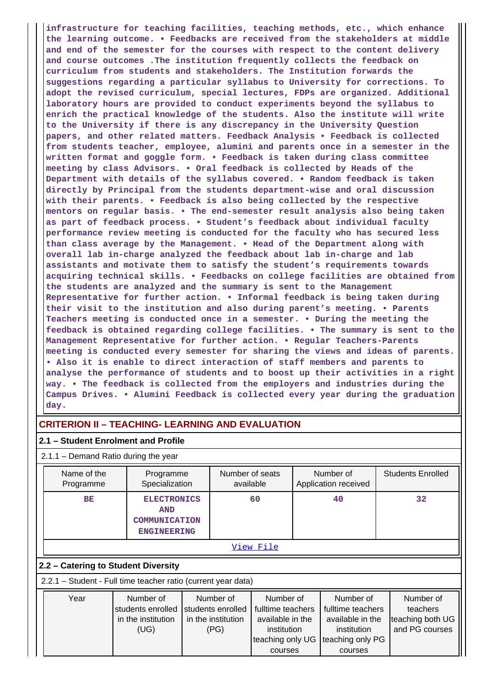**infrastructure for teaching facilities, teaching methods, etc., which enhance the learning outcome. • Feedbacks are received from the stakeholders at middle and end of the semester for the courses with respect to the content delivery and course outcomes .The institution frequently collects the feedback on curriculum from students and stakeholders. The Institution forwards the suggestions regarding a particular syllabus to University for corrections. To adopt the revised curriculum, special lectures, FDPs are organized. Additional laboratory hours are provided to conduct experiments beyond the syllabus to enrich the practical knowledge of the students. Also the institute will write to the University if there is any discrepancy in the University Question papers, and other related matters. Feedback Analysis • Feedback is collected from students teacher, employee, alumini and parents once in a semester in the written format and goggle form. • Feedback is taken during class committee meeting by class Advisors. • Oral feedback is collected by Heads of the Department with details of the syllabus covered. • Random feedback is taken directly by Principal from the students department-wise and oral discussion with their parents. • Feedback is also being collected by the respective mentors on regular basis. • The end-semester result analysis also being taken as part of feedback process. • Student's feedback about individual faculty performance review meeting is conducted for the faculty who has secured less than class average by the Management. • Head of the Department along with overall lab in-charge analyzed the feedback about lab in-charge and lab assistants and motivate them to satisfy the student's requirements towards acquiring technical skills. • Feedbacks on college facilities are obtained from the students are analyzed and the summary is sent to the Management Representative for further action. • Informal feedback is being taken during their visit to the institution and also during parent's meeting. • Parents Teachers meeting is conducted once in a semester. • During the meeting the feedback is obtained regarding college facilities. • The summary is sent to the Management Representative for further action. • Regular Teachers-Parents meeting is conducted every semester for sharing the views and ideas of parents. • Also it is enable to direct interaction of staff members and parents to analyse the performance of students and to boost up their activities in a right way. • The feedback is collected from the employers and industries during the Campus Drives. • Alumini Feedback is collected every year during the graduation day.**

## **CRITERION II – TEACHING- LEARNING AND EVALUATION**

### **2.1 – Student Enrolment and Profile**

2.1.1 – Demand Ratio during the year

| Name of the<br>Programme            | Programme<br>Specialization                                             | Number of seats<br>available | Number of<br>Application received | <b>Students Enrolled</b> |  |  |  |
|-------------------------------------|-------------------------------------------------------------------------|------------------------------|-----------------------------------|--------------------------|--|--|--|
| <b>BE</b>                           | <b>ELECTRONICS</b><br><b>AND</b><br>COMMUNICATION<br><b>ENGINEERING</b> | 60                           | 40                                | 32                       |  |  |  |
| View File                           |                                                                         |                              |                                   |                          |  |  |  |
| 2.2 - Catering to Student Diversity |                                                                         |                              |                                   |                          |  |  |  |

2.2.1 – Student - Full time teacher ratio (current year data)

| Year | Number of                           | Number of          | Number of                         | Number of         | Number of        |
|------|-------------------------------------|--------------------|-----------------------------------|-------------------|------------------|
|      | students enrolled Students enrolled |                    | fulltime teachers                 | fulltime teachers | teachers         |
|      | in the institution                  | in the institution | available in the                  | available in the  | teaching both UG |
|      | (UG)                                | (PG)               | institution                       | institution       | and PG courses   |
|      |                                     |                    | teaching only UG teaching only PG |                   |                  |
|      |                                     |                    | courses                           | courses           |                  |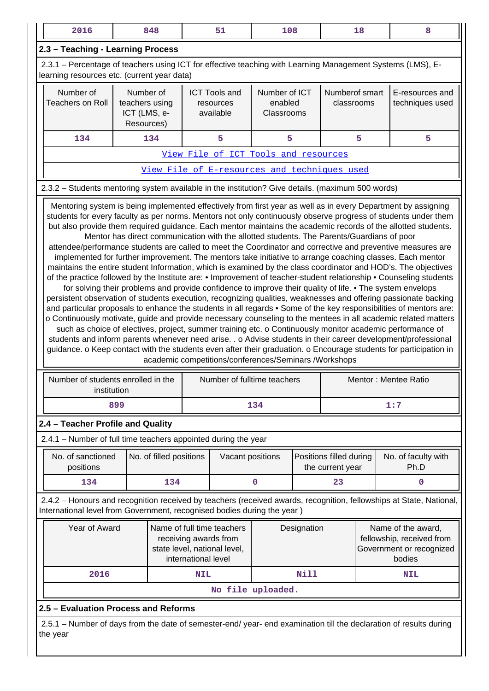| 2016                                                                                                                                                      |                                                                                                                                                                                                                                                                                                                                                                                                                                                                                                                                                                                                                                                                                                                                                                                                                                                                                                                                                                                                                                                                                                                                                                                                                                                                                                                                                                                          | 848                                                       |             | 51                                                                                   | 108                                    |             |                                                                                       | 18 | 8                                                                                                                   |
|-----------------------------------------------------------------------------------------------------------------------------------------------------------|------------------------------------------------------------------------------------------------------------------------------------------------------------------------------------------------------------------------------------------------------------------------------------------------------------------------------------------------------------------------------------------------------------------------------------------------------------------------------------------------------------------------------------------------------------------------------------------------------------------------------------------------------------------------------------------------------------------------------------------------------------------------------------------------------------------------------------------------------------------------------------------------------------------------------------------------------------------------------------------------------------------------------------------------------------------------------------------------------------------------------------------------------------------------------------------------------------------------------------------------------------------------------------------------------------------------------------------------------------------------------------------|-----------------------------------------------------------|-------------|--------------------------------------------------------------------------------------|----------------------------------------|-------------|---------------------------------------------------------------------------------------|----|---------------------------------------------------------------------------------------------------------------------|
| 2.3 - Teaching - Learning Process                                                                                                                         |                                                                                                                                                                                                                                                                                                                                                                                                                                                                                                                                                                                                                                                                                                                                                                                                                                                                                                                                                                                                                                                                                                                                                                                                                                                                                                                                                                                          |                                                           |             |                                                                                      |                                        |             |                                                                                       |    |                                                                                                                     |
| 2.3.1 – Percentage of teachers using ICT for effective teaching with Learning Management Systems (LMS), E-<br>learning resources etc. (current year data) |                                                                                                                                                                                                                                                                                                                                                                                                                                                                                                                                                                                                                                                                                                                                                                                                                                                                                                                                                                                                                                                                                                                                                                                                                                                                                                                                                                                          |                                                           |             |                                                                                      |                                        |             |                                                                                       |    |                                                                                                                     |
| Number of<br><b>Teachers on Roll</b>                                                                                                                      |                                                                                                                                                                                                                                                                                                                                                                                                                                                                                                                                                                                                                                                                                                                                                                                                                                                                                                                                                                                                                                                                                                                                                                                                                                                                                                                                                                                          | Number of<br>teachers using<br>ICT (LMS, e-<br>Resources) |             | <b>ICT Tools and</b><br>resources<br>available                                       | Number of ICT<br>enabled<br>Classrooms |             | Numberof smart<br>classrooms                                                          |    | E-resources and<br>techniques used                                                                                  |
| 134                                                                                                                                                       |                                                                                                                                                                                                                                                                                                                                                                                                                                                                                                                                                                                                                                                                                                                                                                                                                                                                                                                                                                                                                                                                                                                                                                                                                                                                                                                                                                                          | 134                                                       |             | 5                                                                                    | 5                                      |             |                                                                                       | 5  | 5                                                                                                                   |
| View File of ICT Tools and resources                                                                                                                      |                                                                                                                                                                                                                                                                                                                                                                                                                                                                                                                                                                                                                                                                                                                                                                                                                                                                                                                                                                                                                                                                                                                                                                                                                                                                                                                                                                                          |                                                           |             |                                                                                      |                                        |             |                                                                                       |    |                                                                                                                     |
|                                                                                                                                                           |                                                                                                                                                                                                                                                                                                                                                                                                                                                                                                                                                                                                                                                                                                                                                                                                                                                                                                                                                                                                                                                                                                                                                                                                                                                                                                                                                                                          |                                                           |             | View File of E-resources and techniques used                                         |                                        |             |                                                                                       |    |                                                                                                                     |
| 2.3.2 - Students mentoring system available in the institution? Give details. (maximum 500 words)                                                         |                                                                                                                                                                                                                                                                                                                                                                                                                                                                                                                                                                                                                                                                                                                                                                                                                                                                                                                                                                                                                                                                                                                                                                                                                                                                                                                                                                                          |                                                           |             |                                                                                      |                                        |             |                                                                                       |    |                                                                                                                     |
|                                                                                                                                                           | Mentor has direct communication with the allotted students. The Parents/Guardians of poor<br>attendee/performance students are called to meet the Coordinator and corrective and preventive measures are<br>implemented for further improvement. The mentors take initiative to arrange coaching classes. Each mentor<br>maintains the entire student Information, which is examined by the class coordinator and HOD's. The objectives<br>of the practice followed by the Institute are: • Improvement of teacher-student relationship • Counseling students<br>for solving their problems and provide confidence to improve their quality of life. • The system envelops<br>persistent observation of students execution, recognizing qualities, weaknesses and offering passionate backing<br>and particular proposals to enhance the students in all regards • Some of the key responsibilities of mentors are:<br>o Continuously motivate, guide and provide necessary counseling to the mentees in all academic related matters<br>such as choice of electives, project, summer training etc. o Continuously monitor academic performance of<br>students and inform parents whenever need arise. . o Advise students in their career development/professional<br>guidance. o Keep contact with the students even after their graduation. o Encourage students for participation in |                                                           |             |                                                                                      |                                        |             |                                                                                       |    |                                                                                                                     |
| Number of students enrolled in the                                                                                                                        | institution                                                                                                                                                                                                                                                                                                                                                                                                                                                                                                                                                                                                                                                                                                                                                                                                                                                                                                                                                                                                                                                                                                                                                                                                                                                                                                                                                                              |                                                           |             | academic competitions/conferences/Seminars /Workshops<br>Number of fulltime teachers |                                        |             |                                                                                       |    | Mentor: Mentee Ratio                                                                                                |
|                                                                                                                                                           | 899                                                                                                                                                                                                                                                                                                                                                                                                                                                                                                                                                                                                                                                                                                                                                                                                                                                                                                                                                                                                                                                                                                                                                                                                                                                                                                                                                                                      |                                                           |             |                                                                                      | 134                                    |             |                                                                                       |    | 1:7                                                                                                                 |
| 2.4 - Teacher Profile and Quality                                                                                                                         |                                                                                                                                                                                                                                                                                                                                                                                                                                                                                                                                                                                                                                                                                                                                                                                                                                                                                                                                                                                                                                                                                                                                                                                                                                                                                                                                                                                          |                                                           |             |                                                                                      |                                        |             |                                                                                       |    |                                                                                                                     |
| 2.4.1 – Number of full time teachers appointed during the year                                                                                            |                                                                                                                                                                                                                                                                                                                                                                                                                                                                                                                                                                                                                                                                                                                                                                                                                                                                                                                                                                                                                                                                                                                                                                                                                                                                                                                                                                                          |                                                           |             |                                                                                      |                                        |             |                                                                                       |    |                                                                                                                     |
| No. of sanctioned<br>positions                                                                                                                            |                                                                                                                                                                                                                                                                                                                                                                                                                                                                                                                                                                                                                                                                                                                                                                                                                                                                                                                                                                                                                                                                                                                                                                                                                                                                                                                                                                                          | No. of filled positions                                   |             | Vacant positions                                                                     |                                        |             | Positions filled during<br>the current year                                           |    | No. of faculty with<br>Ph.D                                                                                         |
| 134                                                                                                                                                       |                                                                                                                                                                                                                                                                                                                                                                                                                                                                                                                                                                                                                                                                                                                                                                                                                                                                                                                                                                                                                                                                                                                                                                                                                                                                                                                                                                                          | 134                                                       |             |                                                                                      | 0                                      |             | 23                                                                                    |    | 0                                                                                                                   |
| International level from Government, recognised bodies during the year)                                                                                   |                                                                                                                                                                                                                                                                                                                                                                                                                                                                                                                                                                                                                                                                                                                                                                                                                                                                                                                                                                                                                                                                                                                                                                                                                                                                                                                                                                                          |                                                           |             |                                                                                      |                                        |             |                                                                                       |    | 2.4.2 - Honours and recognition received by teachers (received awards, recognition, fellowships at State, National, |
|                                                                                                                                                           | Year of Award<br>Name of full time teachers<br>receiving awards from<br>state level, national level,<br>international level                                                                                                                                                                                                                                                                                                                                                                                                                                                                                                                                                                                                                                                                                                                                                                                                                                                                                                                                                                                                                                                                                                                                                                                                                                                              |                                                           | Designation |                                                                                      |                                        |             | Name of the award,<br>fellowship, received from<br>Government or recognized<br>bodies |    |                                                                                                                     |
| 2016                                                                                                                                                      |                                                                                                                                                                                                                                                                                                                                                                                                                                                                                                                                                                                                                                                                                                                                                                                                                                                                                                                                                                                                                                                                                                                                                                                                                                                                                                                                                                                          |                                                           | <b>NIL</b>  |                                                                                      |                                        | <b>Nill</b> |                                                                                       |    | <b>NIL</b>                                                                                                          |
|                                                                                                                                                           |                                                                                                                                                                                                                                                                                                                                                                                                                                                                                                                                                                                                                                                                                                                                                                                                                                                                                                                                                                                                                                                                                                                                                                                                                                                                                                                                                                                          |                                                           |             | No file uploaded.                                                                    |                                        |             |                                                                                       |    |                                                                                                                     |
| 2.5 - Evaluation Process and Reforms                                                                                                                      |                                                                                                                                                                                                                                                                                                                                                                                                                                                                                                                                                                                                                                                                                                                                                                                                                                                                                                                                                                                                                                                                                                                                                                                                                                                                                                                                                                                          |                                                           |             |                                                                                      |                                        |             |                                                                                       |    |                                                                                                                     |
| the year                                                                                                                                                  | 2.5.1 – Number of days from the date of semester-end/ year- end examination till the declaration of results during                                                                                                                                                                                                                                                                                                                                                                                                                                                                                                                                                                                                                                                                                                                                                                                                                                                                                                                                                                                                                                                                                                                                                                                                                                                                       |                                                           |             |                                                                                      |                                        |             |                                                                                       |    |                                                                                                                     |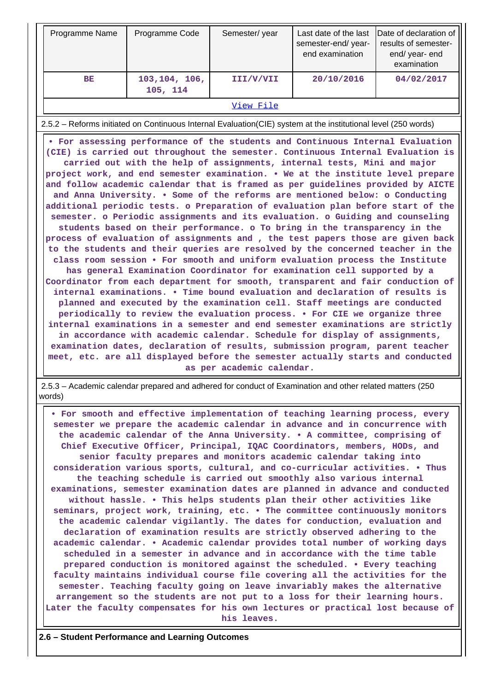| Programme Name                                                                                                                                                                                                                                                                                                                                                                                                                                                                                                                                                                                                                                                                                                                                                                                                                                                                                                                                                                                                                                                                                                                                                                                                                                                                                                                                                                                                                                                                                                                                                                                                                                                                                                                                                                                                                                                                                                                                                                                                    | Programme Code             | Semester/year | Last date of the last<br>semester-end/year-<br>end examination | Date of declaration of<br>results of semester-<br>end/year-end<br>examination |  |  |  |
|-------------------------------------------------------------------------------------------------------------------------------------------------------------------------------------------------------------------------------------------------------------------------------------------------------------------------------------------------------------------------------------------------------------------------------------------------------------------------------------------------------------------------------------------------------------------------------------------------------------------------------------------------------------------------------------------------------------------------------------------------------------------------------------------------------------------------------------------------------------------------------------------------------------------------------------------------------------------------------------------------------------------------------------------------------------------------------------------------------------------------------------------------------------------------------------------------------------------------------------------------------------------------------------------------------------------------------------------------------------------------------------------------------------------------------------------------------------------------------------------------------------------------------------------------------------------------------------------------------------------------------------------------------------------------------------------------------------------------------------------------------------------------------------------------------------------------------------------------------------------------------------------------------------------------------------------------------------------------------------------------------------------|----------------------------|---------------|----------------------------------------------------------------|-------------------------------------------------------------------------------|--|--|--|
| BE                                                                                                                                                                                                                                                                                                                                                                                                                                                                                                                                                                                                                                                                                                                                                                                                                                                                                                                                                                                                                                                                                                                                                                                                                                                                                                                                                                                                                                                                                                                                                                                                                                                                                                                                                                                                                                                                                                                                                                                                                | 103, 104, 106,<br>105, 114 | III/V/VII     | 20/10/2016                                                     | 04/02/2017                                                                    |  |  |  |
|                                                                                                                                                                                                                                                                                                                                                                                                                                                                                                                                                                                                                                                                                                                                                                                                                                                                                                                                                                                                                                                                                                                                                                                                                                                                                                                                                                                                                                                                                                                                                                                                                                                                                                                                                                                                                                                                                                                                                                                                                   |                            | View File     |                                                                |                                                                               |  |  |  |
|                                                                                                                                                                                                                                                                                                                                                                                                                                                                                                                                                                                                                                                                                                                                                                                                                                                                                                                                                                                                                                                                                                                                                                                                                                                                                                                                                                                                                                                                                                                                                                                                                                                                                                                                                                                                                                                                                                                                                                                                                   |                            |               |                                                                |                                                                               |  |  |  |
| 2.5.2 - Reforms initiated on Continuous Internal Evaluation(CIE) system at the institutional level (250 words)<br>. For assessing performance of the students and Continuous Internal Evaluation<br>(CIE) is carried out throughout the semester. Continuous Internal Evaluation is<br>carried out with the help of assignments, internal tests, Mini and major<br>project work, and end semester examination. . We at the institute level prepare<br>and follow academic calendar that is framed as per guidelines provided by AICTE<br>and Anna University. . Some of the reforms are mentioned below: o Conducting<br>additional periodic tests. o Preparation of evaluation plan before start of the<br>semester. o Periodic assignments and its evaluation. o Guiding and counseling<br>students based on their performance. o To bring in the transparency in the<br>process of evaluation of assignments and, the test papers those are given back<br>to the students and their queries are resolved by the concerned teacher in the<br>class room session . For smooth and uniform evaluation process the Institute<br>has general Examination Coordinator for examination cell supported by a<br>Coordinator from each department for smooth, transparent and fair conduction of<br>internal examinations. • Time bound evaluation and declaration of results is<br>planned and executed by the examination cell. Staff meetings are conducted<br>periodically to review the evaluation process. • For CIE we organize three<br>internal examinations in a semester and end semester examinations are strictly<br>in accordance with academic calendar. Schedule for display of assignments,<br>examination dates, declaration of results, submission program, parent teacher<br>meet, etc. are all displayed before the semester actually starts and conducted<br>as per academic calendar.<br>2.5.3 - Academic calendar prepared and adhered for conduct of Examination and other related matters (250 |                            |               |                                                                |                                                                               |  |  |  |
| words)                                                                                                                                                                                                                                                                                                                                                                                                                                                                                                                                                                                                                                                                                                                                                                                                                                                                                                                                                                                                                                                                                                                                                                                                                                                                                                                                                                                                                                                                                                                                                                                                                                                                                                                                                                                                                                                                                                                                                                                                            |                            |               |                                                                |                                                                               |  |  |  |

 **• For smooth and effective implementation of teaching learning process, every semester we prepare the academic calendar in advance and in concurrence with the academic calendar of the Anna University. • A committee, comprising of Chief Executive Officer, Principal, IQAC Coordinators, members, HODs, and senior faculty prepares and monitors academic calendar taking into consideration various sports, cultural, and co-curricular activities. • Thus the teaching schedule is carried out smoothly also various internal examinations, semester examination dates are planned in advance and conducted without hassle. • This helps students plan their other activities like seminars, project work, training, etc. • The committee continuously monitors the academic calendar vigilantly. The dates for conduction, evaluation and declaration of examination results are strictly observed adhering to the academic calendar. • Academic calendar provides total number of working days scheduled in a semester in advance and in accordance with the time table prepared conduction is monitored against the scheduled. • Every teaching faculty maintains individual course file covering all the activities for the semester. Teaching faculty going on leave invariably makes the alternative arrangement so the students are not put to a loss for their learning hours. Later the faculty compensates for his own lectures or practical lost because of his leaves.**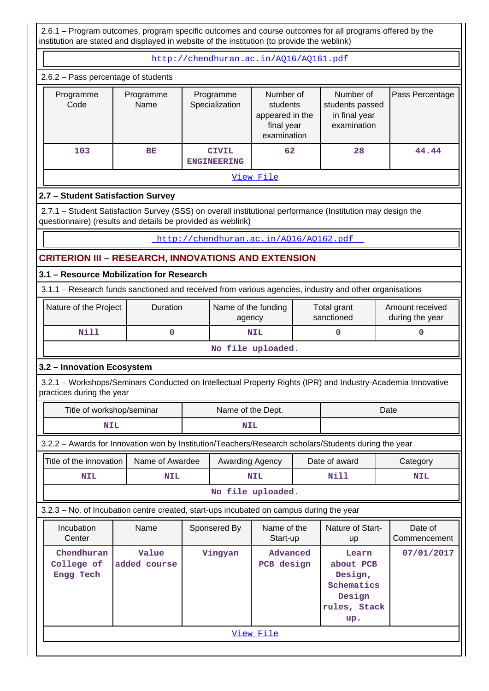2.6.1 – Program outcomes, program specific outcomes and course outcomes for all programs offered by the institution are stated and displayed in website of the institution (to provide the weblink)

 <http://chendhuran.ac.in/AQ16/AQ161.pdf> 2.6.2 – Pass percentage of students

|                   | E.O.E T doo poroomago of stadents |                                    |                                                                       |                                                              |                 |  |  |  |  |  |  |
|-------------------|-----------------------------------|------------------------------------|-----------------------------------------------------------------------|--------------------------------------------------------------|-----------------|--|--|--|--|--|--|
| Programme<br>Code | Programme<br>Name                 | Programme<br>Specialization        | Number of<br>students<br>appeared in the<br>final year<br>examination | Number of<br>students passed<br>in final year<br>examination | Pass Percentage |  |  |  |  |  |  |
| 103               | BE                                | <b>CIVIL</b><br><b>ENGINEERING</b> | 62                                                                    | 28                                                           | 44.44           |  |  |  |  |  |  |
| View File         |                                   |                                    |                                                                       |                                                              |                 |  |  |  |  |  |  |

# **2.7 – Student Satisfaction Survey**

 2.7.1 – Student Satisfaction Survey (SSS) on overall institutional performance (Institution may design the questionnaire) (results and details be provided as weblink)

## <http://chendhuran.ac.in/AQ16/AQ162.pdf>

# **CRITERION III – RESEARCH, INNOVATIONS AND EXTENSION**

# **3.1 – Resource Mobilization for Research**

3.1.1 – Research funds sanctioned and received from various agencies, industry and other organisations

| Nature of the Project | Duration | Name of the funding<br>agency | Total grant<br>sanctioned | Amount received<br>during the year |  |  |  |  |
|-----------------------|----------|-------------------------------|---------------------------|------------------------------------|--|--|--|--|
| Nill                  |          | NIL                           |                           |                                    |  |  |  |  |
| No file uploaded.     |          |                               |                           |                                    |  |  |  |  |

# **3.2 – Innovation Ecosystem**

 3.2.1 – Workshops/Seminars Conducted on Intellectual Property Rights (IPR) and Industry-Academia Innovative practices during the year

| Title of workshop/seminar                                                               |                                                                                                      |            | Name of the Dept. |                         |  |                                                                              | Date |                         |
|-----------------------------------------------------------------------------------------|------------------------------------------------------------------------------------------------------|------------|-------------------|-------------------------|--|------------------------------------------------------------------------------|------|-------------------------|
| <b>NIL</b>                                                                              |                                                                                                      | <b>NIL</b> |                   |                         |  |                                                                              |      |                         |
|                                                                                         | 3.2.2 - Awards for Innovation won by Institution/Teachers/Research scholars/Students during the year |            |                   |                         |  |                                                                              |      |                         |
| Title of the innovation<br>Name of Awardee                                              |                                                                                                      |            | Awarding Agency   |                         |  | Date of award                                                                |      | Category                |
| <b>NIL</b>                                                                              | NIL                                                                                                  |            |                   | <b>NIL</b>              |  | Nill                                                                         |      | NIL                     |
| No file uploaded.                                                                       |                                                                                                      |            |                   |                         |  |                                                                              |      |                         |
| 3.2.3 – No. of Incubation centre created, start-ups incubated on campus during the year |                                                                                                      |            |                   |                         |  |                                                                              |      |                         |
| Incubation<br>Center                                                                    | Name                                                                                                 |            | Sponsered By      | Name of the<br>Start-up |  | Nature of Start-<br><b>up</b>                                                |      | Date of<br>Commencement |
| Chendhuran<br>College of<br>Engg Tech                                                   | Value<br>added course                                                                                |            | Vingyan           | Advanced<br>PCB design  |  | Learn<br>about PCB<br>Design,<br>Schematics<br>Design<br>rules, Stack<br>up. |      | 07/01/2017              |
|                                                                                         |                                                                                                      |            |                   | View File               |  |                                                                              |      |                         |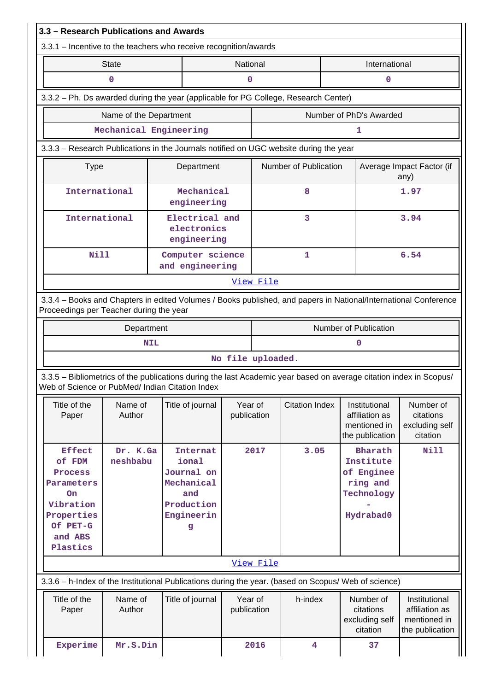| 3.3 - Research Publications and Awards                                                                                                                                |                                                                                                                                                            |            |                                                                                              |                        |                                                                                     |                       |  |                                                                                  |                                                                    |  |
|-----------------------------------------------------------------------------------------------------------------------------------------------------------------------|------------------------------------------------------------------------------------------------------------------------------------------------------------|------------|----------------------------------------------------------------------------------------------|------------------------|-------------------------------------------------------------------------------------|-----------------------|--|----------------------------------------------------------------------------------|--------------------------------------------------------------------|--|
| 3.3.1 - Incentive to the teachers who receive recognition/awards                                                                                                      |                                                                                                                                                            |            |                                                                                              |                        |                                                                                     |                       |  |                                                                                  |                                                                    |  |
|                                                                                                                                                                       | <b>State</b>                                                                                                                                               |            |                                                                                              | National               |                                                                                     |                       |  | International                                                                    |                                                                    |  |
|                                                                                                                                                                       | $\mathbf 0$                                                                                                                                                |            |                                                                                              | 0                      |                                                                                     |                       |  | 0                                                                                |                                                                    |  |
|                                                                                                                                                                       |                                                                                                                                                            |            |                                                                                              |                        | 3.3.2 - Ph. Ds awarded during the year (applicable for PG College, Research Center) |                       |  |                                                                                  |                                                                    |  |
|                                                                                                                                                                       | Name of the Department                                                                                                                                     |            |                                                                                              |                        |                                                                                     |                       |  | Number of PhD's Awarded                                                          |                                                                    |  |
|                                                                                                                                                                       | Mechanical Engineering                                                                                                                                     |            |                                                                                              |                        |                                                                                     |                       |  | 1                                                                                |                                                                    |  |
| 3.3.3 – Research Publications in the Journals notified on UGC website during the year                                                                                 |                                                                                                                                                            |            |                                                                                              |                        |                                                                                     |                       |  |                                                                                  |                                                                    |  |
|                                                                                                                                                                       | Department<br><b>Type</b>                                                                                                                                  |            |                                                                                              |                        |                                                                                     | Number of Publication |  |                                                                                  | Average Impact Factor (if<br>any)                                  |  |
|                                                                                                                                                                       | International<br>engineering                                                                                                                               |            |                                                                                              | Mechanical             |                                                                                     | 8                     |  |                                                                                  | 1.97                                                               |  |
|                                                                                                                                                                       | International<br>electronics<br>engineering                                                                                                                |            |                                                                                              | Electrical and         |                                                                                     | 3                     |  |                                                                                  | 3.94                                                               |  |
|                                                                                                                                                                       | <b>Nill</b><br>and engineering                                                                                                                             |            |                                                                                              | Computer science       |                                                                                     | $\mathbf{1}$          |  |                                                                                  | 6.54                                                               |  |
|                                                                                                                                                                       |                                                                                                                                                            |            |                                                                                              |                        | View File                                                                           |                       |  |                                                                                  |                                                                    |  |
|                                                                                                                                                                       | 3.3.4 - Books and Chapters in edited Volumes / Books published, and papers in National/International Conference<br>Proceedings per Teacher during the year |            |                                                                                              |                        |                                                                                     |                       |  |                                                                                  |                                                                    |  |
|                                                                                                                                                                       | Department                                                                                                                                                 |            |                                                                                              |                        |                                                                                     |                       |  | Number of Publication                                                            |                                                                    |  |
|                                                                                                                                                                       |                                                                                                                                                            | <b>NIL</b> |                                                                                              |                        |                                                                                     |                       |  | 0                                                                                |                                                                    |  |
|                                                                                                                                                                       |                                                                                                                                                            |            |                                                                                              | No file uploaded.      |                                                                                     |                       |  |                                                                                  |                                                                    |  |
| 3.3.5 – Bibliometrics of the publications during the last Academic year based on average citation index in Scopus/<br>Web of Science or PubMed/ Indian Citation Index |                                                                                                                                                            |            |                                                                                              |                        |                                                                                     |                       |  |                                                                                  |                                                                    |  |
| Title of the<br>Paper                                                                                                                                                 | Name of<br>Author                                                                                                                                          |            | Title of journal                                                                             | Year of<br>publication |                                                                                     | <b>Citation Index</b> |  | Institutional<br>affiliation as<br>mentioned in<br>the publication               | Number of<br>citations<br>excluding self<br>citation               |  |
| <b>Effect</b><br>of FDM<br>Process<br>Parameters<br>On<br>Vibration<br>Properties<br>Of PET-G<br>and ABS<br>Plastics                                                  | Dr. K.Ga<br>neshbabu                                                                                                                                       |            | <b>Internat</b><br>ional<br>Journal on<br>Mechanical<br>and<br>Production<br>Engineerin<br>g |                        | 2017                                                                                | 3.05                  |  | <b>Bharath</b><br>Institute<br>of Enginee<br>ring and<br>Technology<br>Hydrabad0 | Nill                                                               |  |
|                                                                                                                                                                       |                                                                                                                                                            |            |                                                                                              |                        | View File                                                                           |                       |  |                                                                                  |                                                                    |  |
| 3.3.6 - h-Index of the Institutional Publications during the year. (based on Scopus/ Web of science)                                                                  |                                                                                                                                                            |            |                                                                                              |                        |                                                                                     |                       |  |                                                                                  |                                                                    |  |
| Title of the<br>Paper                                                                                                                                                 | Name of<br>Author                                                                                                                                          |            | Title of journal                                                                             | Year of<br>publication |                                                                                     | h-index               |  | Number of<br>citations<br>excluding self<br>citation                             | Institutional<br>affiliation as<br>mentioned in<br>the publication |  |
| Experime                                                                                                                                                              | Mr.S.Din                                                                                                                                                   |            |                                                                                              |                        | 2016                                                                                | 4                     |  | 37                                                                               |                                                                    |  |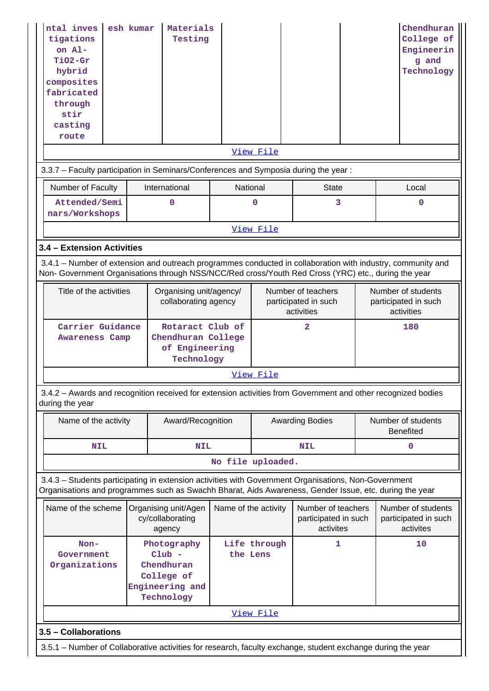| ntal inves<br>tigations<br>on Al-<br><b>TiO2-Gr</b><br>hybrid<br>composites<br>fabricated<br>through<br>stir<br>casting<br>route<br>3.3.7 - Faculty participation in Seminars/Conferences and Symposia during the year: | esh kumar                                                                                                    | Materials<br>Testing<br>International                                                | National                 | View File   |                                                          |  | Chendhuran<br>College of<br>Engineerin<br>g and<br>Technology |  |
|-------------------------------------------------------------------------------------------------------------------------------------------------------------------------------------------------------------------------|--------------------------------------------------------------------------------------------------------------|--------------------------------------------------------------------------------------|--------------------------|-------------|----------------------------------------------------------|--|---------------------------------------------------------------|--|
| Number of Faculty<br>Attended/Semi<br>nars/Workshops                                                                                                                                                                    |                                                                                                              | 0                                                                                    |                          | $\mathbf 0$ | <b>State</b><br>3                                        |  | Local<br>$\mathbf 0$                                          |  |
|                                                                                                                                                                                                                         |                                                                                                              |                                                                                      |                          | View File   |                                                          |  |                                                               |  |
| 3.4 - Extension Activities                                                                                                                                                                                              |                                                                                                              |                                                                                      |                          |             |                                                          |  |                                                               |  |
| 3.4.1 – Number of extension and outreach programmes conducted in collaboration with industry, community and<br>Non- Government Organisations through NSS/NCC/Red cross/Youth Red Cross (YRC) etc., during the year      |                                                                                                              |                                                                                      |                          |             |                                                          |  |                                                               |  |
|                                                                                                                                                                                                                         | Title of the activities<br>Organising unit/agency/<br>collaborating agency                                   |                                                                                      |                          |             | Number of teachers<br>participated in such<br>activities |  |                                                               |  |
|                                                                                                                                                                                                                         | Carrier Guidance<br>Rotaract Club of<br>Chendhuran College<br>Awareness Camp<br>of Engineering<br>Technology |                                                                                      |                          |             | $\overline{2}$                                           |  | 180                                                           |  |
|                                                                                                                                                                                                                         |                                                                                                              |                                                                                      |                          | View File   |                                                          |  |                                                               |  |
| 3.4.2 - Awards and recognition received for extension activities from Government and other recognized bodies<br>during the year                                                                                         |                                                                                                              |                                                                                      |                          |             |                                                          |  |                                                               |  |
| Name of the activity                                                                                                                                                                                                    |                                                                                                              | Award/Recognition                                                                    |                          |             | <b>Awarding Bodies</b>                                   |  | Number of students<br><b>Benefited</b>                        |  |
| <b>NIL</b>                                                                                                                                                                                                              |                                                                                                              | <b>NIL</b>                                                                           |                          |             | <b>NIL</b>                                               |  | 0                                                             |  |
|                                                                                                                                                                                                                         |                                                                                                              |                                                                                      | No file uploaded.        |             |                                                          |  |                                                               |  |
| 3.4.3 - Students participating in extension activities with Government Organisations, Non-Government<br>Organisations and programmes such as Swachh Bharat, Aids Awareness, Gender Issue, etc. during the year          |                                                                                                              |                                                                                      |                          |             |                                                          |  |                                                               |  |
| Name of the scheme                                                                                                                                                                                                      |                                                                                                              | Organising unit/Agen<br>cy/collaborating<br>agency                                   | Name of the activity     |             | Number of teachers<br>participated in such<br>activites  |  | Number of students<br>participated in such<br>activites       |  |
| $Non-$<br>Government<br>Organizations                                                                                                                                                                                   |                                                                                                              | Photography<br>$Club -$<br>Chendhuran<br>College of<br>Engineering and<br>Technology | Life through<br>the Lens |             | 1                                                        |  | 10                                                            |  |
|                                                                                                                                                                                                                         | View File                                                                                                    |                                                                                      |                          |             |                                                          |  |                                                               |  |
| 3.5 - Collaborations                                                                                                                                                                                                    |                                                                                                              |                                                                                      |                          |             |                                                          |  |                                                               |  |
| 3.5.1 – Number of Collaborative activities for research, faculty exchange, student exchange during the year                                                                                                             |                                                                                                              |                                                                                      |                          |             |                                                          |  |                                                               |  |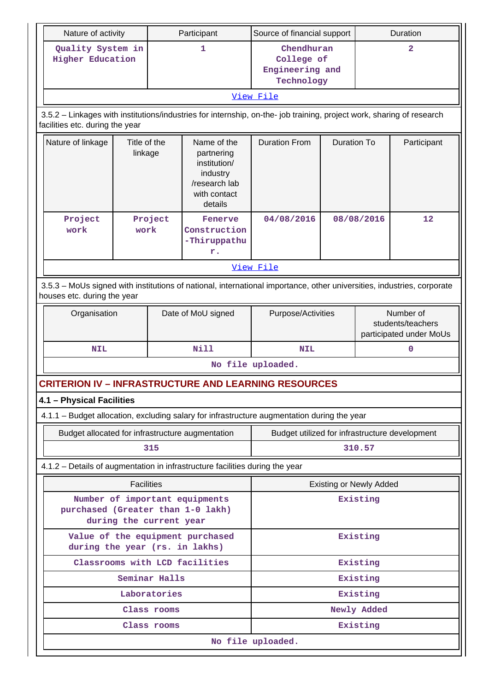| Nature of activity                                                                                                                                       |                         |               | Participant                                                                                       | Source of financial support                                                                 |                    |                                                           | Duration          |  |
|----------------------------------------------------------------------------------------------------------------------------------------------------------|-------------------------|---------------|---------------------------------------------------------------------------------------------------|---------------------------------------------------------------------------------------------|--------------------|-----------------------------------------------------------|-------------------|--|
| Quality System in<br><b>Higher Education</b>                                                                                                             |                         |               | 1                                                                                                 | Chendhuran<br>College of<br>Engineering and<br>Technology                                   |                    | $\overline{\mathbf{2}}$                                   |                   |  |
|                                                                                                                                                          |                         |               |                                                                                                   | View File                                                                                   |                    |                                                           |                   |  |
| 3.5.2 - Linkages with institutions/industries for internship, on-the- job training, project work, sharing of research<br>facilities etc. during the year |                         |               |                                                                                                   |                                                                                             |                    |                                                           |                   |  |
| Nature of linkage                                                                                                                                        | Title of the<br>linkage |               | Name of the<br>partnering<br>institution/<br>industry<br>/research lab<br>with contact<br>details | <b>Duration From</b>                                                                        | <b>Duration To</b> |                                                           | Participant       |  |
| Project<br>work                                                                                                                                          | Project<br>work         |               | Fenerve<br>Construction<br>-Thiruppathu<br>r.                                                     | 04/08/2016                                                                                  |                    | 08/08/2016                                                | $12 \overline{ }$ |  |
|                                                                                                                                                          |                         |               |                                                                                                   | View File                                                                                   |                    |                                                           |                   |  |
| 3.5.3 - MoUs signed with institutions of national, international importance, other universities, industries, corporate<br>houses etc. during the year    |                         |               |                                                                                                   |                                                                                             |                    |                                                           |                   |  |
| Organisation                                                                                                                                             |                         |               | Date of MoU signed                                                                                | Purpose/Activities                                                                          |                    | Number of<br>students/teachers<br>participated under MoUs |                   |  |
| <b>NIL</b>                                                                                                                                               |                         |               | <b>Nill</b>                                                                                       | <b>NIL</b>                                                                                  |                    |                                                           | $\mathbf 0$       |  |
|                                                                                                                                                          |                         |               |                                                                                                   | No file uploaded.                                                                           |                    |                                                           |                   |  |
| <b>CRITERION IV - INFRASTRUCTURE AND LEARNING RESOURCES</b>                                                                                              |                         |               |                                                                                                   |                                                                                             |                    |                                                           |                   |  |
| 4.1 - Physical Facilities                                                                                                                                |                         |               |                                                                                                   |                                                                                             |                    |                                                           |                   |  |
|                                                                                                                                                          |                         |               |                                                                                                   | 4.1.1 - Budget allocation, excluding salary for infrastructure augmentation during the year |                    |                                                           |                   |  |
| Budget allocated for infrastructure augmentation                                                                                                         |                         |               |                                                                                                   | Budget utilized for infrastructure development                                              |                    |                                                           |                   |  |
|                                                                                                                                                          |                         | 315           |                                                                                                   | 310.57                                                                                      |                    |                                                           |                   |  |
| 4.1.2 - Details of augmentation in infrastructure facilities during the year                                                                             |                         |               |                                                                                                   |                                                                                             |                    |                                                           |                   |  |
|                                                                                                                                                          | <b>Facilities</b>       |               |                                                                                                   |                                                                                             |                    | <b>Existing or Newly Added</b>                            |                   |  |
| purchased (Greater than 1-0 lakh)                                                                                                                        | during the current year |               | Number of important equipments                                                                    |                                                                                             |                    | Existing                                                  |                   |  |
| during the year (rs. in lakhs)                                                                                                                           |                         |               | Value of the equipment purchased                                                                  |                                                                                             |                    | Existing                                                  |                   |  |
|                                                                                                                                                          |                         |               | Classrooms with LCD facilities                                                                    |                                                                                             |                    | Existing                                                  |                   |  |
|                                                                                                                                                          |                         | Seminar Halls |                                                                                                   |                                                                                             |                    | Existing                                                  |                   |  |
|                                                                                                                                                          |                         | Laboratories  |                                                                                                   | Existing                                                                                    |                    |                                                           |                   |  |
|                                                                                                                                                          |                         | Class rooms   |                                                                                                   | Newly Added                                                                                 |                    |                                                           |                   |  |
|                                                                                                                                                          |                         | Class rooms   |                                                                                                   |                                                                                             |                    | Existing                                                  |                   |  |
|                                                                                                                                                          |                         |               |                                                                                                   | No file uploaded.                                                                           |                    |                                                           |                   |  |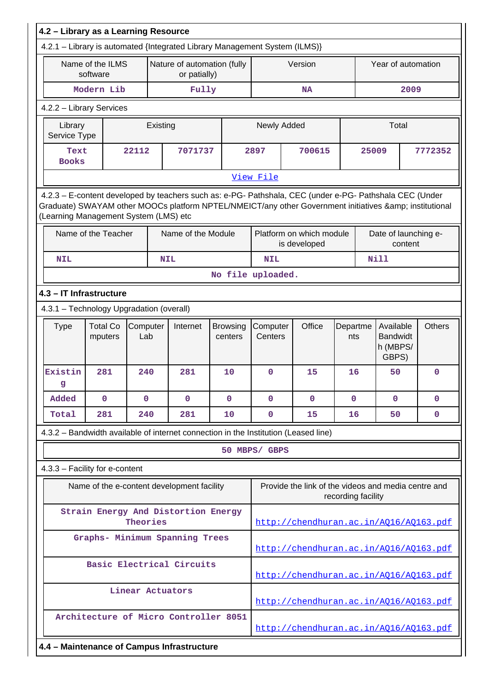|                                                                                                                                                                                                                                                         | 4.2 - Library as a Learning Resource     |                 |          |                                                                            |                            |                     |                                                                                     |                    |       |                                                   |                                        |
|---------------------------------------------------------------------------------------------------------------------------------------------------------------------------------------------------------------------------------------------------------|------------------------------------------|-----------------|----------|----------------------------------------------------------------------------|----------------------------|---------------------|-------------------------------------------------------------------------------------|--------------------|-------|---------------------------------------------------|----------------------------------------|
|                                                                                                                                                                                                                                                         |                                          |                 |          | 4.2.1 - Library is automated {Integrated Library Management System (ILMS)} |                            |                     |                                                                                     |                    |       |                                                   |                                        |
|                                                                                                                                                                                                                                                         | Name of the ILMS<br>software             |                 |          | Nature of automation (fully<br>or patially)                                |                            |                     | Version                                                                             |                    |       | Year of automation                                |                                        |
|                                                                                                                                                                                                                                                         | Modern Lib                               |                 |          | Fully                                                                      |                            |                     | <b>NA</b>                                                                           |                    |       | 2009                                              |                                        |
|                                                                                                                                                                                                                                                         | 4.2.2 - Library Services                 |                 |          |                                                                            |                            |                     |                                                                                     |                    |       |                                                   |                                        |
| Library<br>Service Type                                                                                                                                                                                                                                 |                                          |                 | Existing |                                                                            |                            | Newly Added         |                                                                                     |                    | Total |                                                   |                                        |
| Text<br><b>Books</b>                                                                                                                                                                                                                                    |                                          | 22112           |          | 7071737                                                                    |                            | 700615<br>2897      |                                                                                     |                    | 25009 |                                                   | 7772352                                |
|                                                                                                                                                                                                                                                         |                                          |                 |          |                                                                            |                            | View File           |                                                                                     |                    |       |                                                   |                                        |
| 4.2.3 - E-content developed by teachers such as: e-PG- Pathshala, CEC (under e-PG- Pathshala CEC (Under<br>Graduate) SWAYAM other MOOCs platform NPTEL/NMEICT/any other Government initiatives & institutional<br>(Learning Management System (LMS) etc |                                          |                 |          |                                                                            |                            |                     |                                                                                     |                    |       |                                                   |                                        |
|                                                                                                                                                                                                                                                         | Name of the Teacher                      |                 |          | Name of the Module                                                         |                            |                     | Platform on which module<br>is developed                                            |                    |       | Date of launching e-<br>content                   |                                        |
| <b>NIL</b>                                                                                                                                                                                                                                              |                                          |                 |          | <b>NIL</b>                                                                 |                            | <b>NIL</b>          |                                                                                     |                    |       | <b>Nill</b>                                       |                                        |
|                                                                                                                                                                                                                                                         |                                          |                 |          |                                                                            |                            | No file uploaded.   |                                                                                     |                    |       |                                                   |                                        |
| 4.3 - IT Infrastructure                                                                                                                                                                                                                                 |                                          |                 |          |                                                                            |                            |                     |                                                                                     |                    |       |                                                   |                                        |
|                                                                                                                                                                                                                                                         | 4.3.1 - Technology Upgradation (overall) |                 |          |                                                                            |                            |                     |                                                                                     |                    |       |                                                   |                                        |
| <b>Type</b>                                                                                                                                                                                                                                             | <b>Total Co</b><br>mputers               | Computer<br>Lab |          | Internet                                                                   | <b>Browsing</b><br>centers | Computer<br>Centers | Office                                                                              | Departme<br>nts    |       | Available<br><b>Bandwidt</b><br>h (MBPS/<br>GBPS) | <b>Others</b>                          |
| Existin<br>g                                                                                                                                                                                                                                            | 281                                      | 240             |          | 281                                                                        | 10                         | $\mathbf 0$         | 15                                                                                  | 16                 |       | 50                                                | $\mathbf 0$                            |
| Added                                                                                                                                                                                                                                                   | $\mathbf{0}$                             | $\mathbf{0}$    |          | $\mathbf{O}$                                                               | $\mathbf 0$                | $\mathbf 0$         | $\mathbf{0}$                                                                        | $\mathbf{0}$       |       | 0                                                 | $\mathbf{0}$                           |
| Total                                                                                                                                                                                                                                                   | 281                                      | 240             |          | 281                                                                        | 10                         | $\mathbf 0$         | 15                                                                                  | 16                 |       | 50                                                | 0                                      |
|                                                                                                                                                                                                                                                         |                                          |                 |          |                                                                            |                            |                     | 4.3.2 - Bandwidth available of internet connection in the Institution (Leased line) |                    |       |                                                   |                                        |
|                                                                                                                                                                                                                                                         |                                          |                 |          |                                                                            |                            | 50 MBPS/ GBPS       |                                                                                     |                    |       |                                                   |                                        |
|                                                                                                                                                                                                                                                         | 4.3.3 - Facility for e-content           |                 |          |                                                                            |                            |                     |                                                                                     |                    |       |                                                   |                                        |
|                                                                                                                                                                                                                                                         |                                          |                 |          | Name of the e-content development facility                                 |                            |                     | Provide the link of the videos and media centre and                                 | recording facility |       |                                                   |                                        |
|                                                                                                                                                                                                                                                         |                                          | Theories        |          | Strain Energy And Distortion Energy                                        |                            |                     | http://chendhuran.ac.in/A016/A0163.pdf                                              |                    |       |                                                   |                                        |
|                                                                                                                                                                                                                                                         |                                          |                 |          | Graphs- Minimum Spanning Trees                                             |                            |                     | http://chendhuran.ac.in/A016/A0163.pdf                                              |                    |       |                                                   |                                        |
|                                                                                                                                                                                                                                                         |                                          |                 |          | Basic Electrical Circuits                                                  |                            |                     | http://chendhuran.ac.in/AQ16/AQ163.pdf                                              |                    |       |                                                   |                                        |
|                                                                                                                                                                                                                                                         |                                          |                 |          | Linear Actuators                                                           |                            |                     | http://chendhuran.ac.in/A016/A0163.pdf                                              |                    |       |                                                   |                                        |
|                                                                                                                                                                                                                                                         |                                          |                 |          | Architecture of Micro Controller 8051                                      |                            |                     |                                                                                     |                    |       |                                                   | http://chendhuran.ac.in/A016/A0163.pdf |
|                                                                                                                                                                                                                                                         |                                          |                 |          | 4.4 - Maintenance of Campus Infrastructure                                 |                            |                     |                                                                                     |                    |       |                                                   |                                        |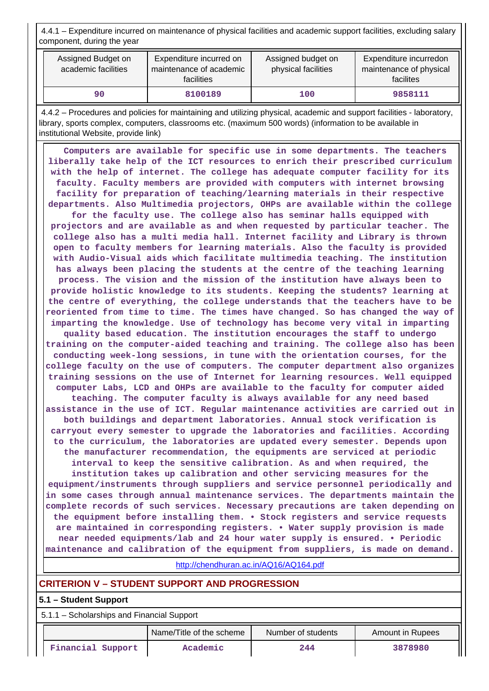4.4.1 – Expenditure incurred on maintenance of physical facilities and academic support facilities, excluding salary component, during the year

| Assigned Budget on<br>academic facilities | Expenditure incurred on<br>maintenance of academic<br>facilities | Assigned budget on<br>physical facilities | Expenditure incurredon<br>maintenance of physical<br>facilites |
|-------------------------------------------|------------------------------------------------------------------|-------------------------------------------|----------------------------------------------------------------|
| 90                                        | 8100189                                                          | 100                                       | 9858111                                                        |

 4.4.2 – Procedures and policies for maintaining and utilizing physical, academic and support facilities - laboratory, library, sports complex, computers, classrooms etc. (maximum 500 words) (information to be available in institutional Website, provide link)

 **Computers are available for specific use in some departments. The teachers liberally take help of the ICT resources to enrich their prescribed curriculum with the help of internet. The college has adequate computer facility for its faculty. Faculty members are provided with computers with internet browsing facility for preparation of teaching/learning materials in their respective departments. Also Multimedia projectors, OHPs are available within the college**

**for the faculty use. The college also has seminar halls equipped with projectors and are available as and when requested by particular teacher. The college also has a multi media hall. Internet facility and Library is thrown open to faculty members for learning materials. Also the faculty is provided with Audio-Visual aids which facilitate multimedia teaching. The institution has always been placing the students at the centre of the teaching learning process. The vision and the mission of the institution have always been to provide holistic knowledge to its students. Keeping the students? learning at the centre of everything, the college understands that the teachers have to be reoriented from time to time. The times have changed. So has changed the way of imparting the knowledge. Use of technology has become very vital in imparting quality based education. The institution encourages the staff to undergo training on the computer-aided teaching and training. The college also has been conducting week-long sessions, in tune with the orientation courses, for the college faculty on the use of computers. The computer department also organizes training sessions on the use of Internet for learning resources. Well equipped**

**computer Labs, LCD and OHPs are available to the faculty for computer aided teaching. The computer faculty is always available for any need based assistance in the use of ICT. Regular maintenance activities are carried out in both buildings and department laboratories. Annual stock verification is carryout every semester to upgrade the laboratories and facilities. According to the curriculum, the laboratories are updated every semester. Depends upon the manufacturer recommendation, the equipments are serviced at periodic**

**interval to keep the sensitive calibration. As and when required, the institution takes up calibration and other servicing measures for the equipment/instruments through suppliers and service personnel periodically and in some cases through annual maintenance services. The departments maintain the complete records of such services. Necessary precautions are taken depending on the equipment before installing them. • Stock registers and service requests are maintained in corresponding registers. • Water supply provision is made**

**near needed equipments/lab and 24 hour water supply is ensured. • Periodic maintenance and calibration of the equipment from suppliers, is made on demand.**

<http://chendhuran.ac.in/AQ16/AQ164.pdf>

# **CRITERION V – STUDENT SUPPORT AND PROGRESSION**

## **5.1 – Student Support**

5.1.1 – Scholarships and Financial Support

|                   | Name/Title of the scheme | Number of students | Amount in Rupees |  |  |
|-------------------|--------------------------|--------------------|------------------|--|--|
| Financial Support | Academic                 | 244                | 3878980          |  |  |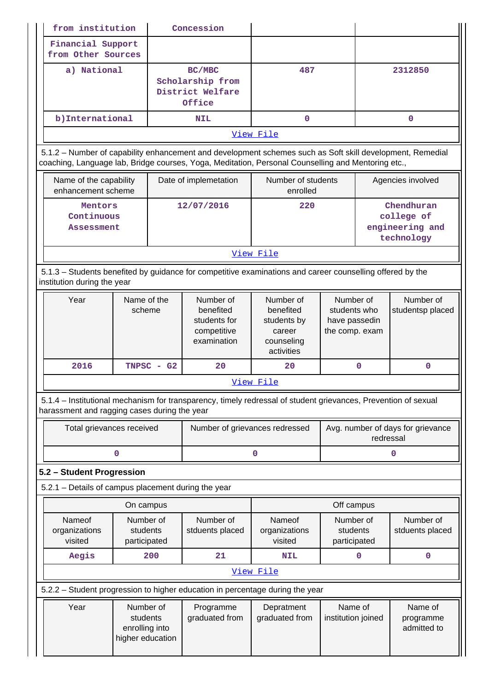| from institution                                                              |                                    | Concession                                                                                                                                                                                                                |                                                                                                                                                                                                 |                                                                                                                                                          |                    |                                                                                                                                                                                                                                                                                                                                                                                                                                                                                                                               |  |  |
|-------------------------------------------------------------------------------|------------------------------------|---------------------------------------------------------------------------------------------------------------------------------------------------------------------------------------------------------------------------|-------------------------------------------------------------------------------------------------------------------------------------------------------------------------------------------------|----------------------------------------------------------------------------------------------------------------------------------------------------------|--------------------|-------------------------------------------------------------------------------------------------------------------------------------------------------------------------------------------------------------------------------------------------------------------------------------------------------------------------------------------------------------------------------------------------------------------------------------------------------------------------------------------------------------------------------|--|--|
| Financial Support                                                             |                                    |                                                                                                                                                                                                                           |                                                                                                                                                                                                 |                                                                                                                                                          |                    |                                                                                                                                                                                                                                                                                                                                                                                                                                                                                                                               |  |  |
|                                                                               |                                    |                                                                                                                                                                                                                           |                                                                                                                                                                                                 |                                                                                                                                                          |                    |                                                                                                                                                                                                                                                                                                                                                                                                                                                                                                                               |  |  |
|                                                                               |                                    | BC/MBC                                                                                                                                                                                                                    | 487                                                                                                                                                                                             |                                                                                                                                                          |                    | 2312850                                                                                                                                                                                                                                                                                                                                                                                                                                                                                                                       |  |  |
|                                                                               |                                    |                                                                                                                                                                                                                           |                                                                                                                                                                                                 |                                                                                                                                                          |                    |                                                                                                                                                                                                                                                                                                                                                                                                                                                                                                                               |  |  |
|                                                                               |                                    |                                                                                                                                                                                                                           |                                                                                                                                                                                                 |                                                                                                                                                          |                    |                                                                                                                                                                                                                                                                                                                                                                                                                                                                                                                               |  |  |
|                                                                               |                                    |                                                                                                                                                                                                                           |                                                                                                                                                                                                 |                                                                                                                                                          |                    | $\mathbf{0}$                                                                                                                                                                                                                                                                                                                                                                                                                                                                                                                  |  |  |
|                                                                               |                                    |                                                                                                                                                                                                                           |                                                                                                                                                                                                 |                                                                                                                                                          |                    |                                                                                                                                                                                                                                                                                                                                                                                                                                                                                                                               |  |  |
|                                                                               |                                    |                                                                                                                                                                                                                           |                                                                                                                                                                                                 |                                                                                                                                                          |                    |                                                                                                                                                                                                                                                                                                                                                                                                                                                                                                                               |  |  |
|                                                                               |                                    |                                                                                                                                                                                                                           |                                                                                                                                                                                                 |                                                                                                                                                          |                    |                                                                                                                                                                                                                                                                                                                                                                                                                                                                                                                               |  |  |
|                                                                               |                                    |                                                                                                                                                                                                                           |                                                                                                                                                                                                 |                                                                                                                                                          |                    | Agencies involved                                                                                                                                                                                                                                                                                                                                                                                                                                                                                                             |  |  |
|                                                                               |                                    |                                                                                                                                                                                                                           |                                                                                                                                                                                                 |                                                                                                                                                          |                    |                                                                                                                                                                                                                                                                                                                                                                                                                                                                                                                               |  |  |
|                                                                               |                                    |                                                                                                                                                                                                                           |                                                                                                                                                                                                 |                                                                                                                                                          |                    | Chendhuran<br>college of                                                                                                                                                                                                                                                                                                                                                                                                                                                                                                      |  |  |
|                                                                               |                                    |                                                                                                                                                                                                                           |                                                                                                                                                                                                 |                                                                                                                                                          |                    | engineering and                                                                                                                                                                                                                                                                                                                                                                                                                                                                                                               |  |  |
|                                                                               |                                    |                                                                                                                                                                                                                           |                                                                                                                                                                                                 |                                                                                                                                                          |                    | technology                                                                                                                                                                                                                                                                                                                                                                                                                                                                                                                    |  |  |
|                                                                               |                                    |                                                                                                                                                                                                                           |                                                                                                                                                                                                 |                                                                                                                                                          |                    |                                                                                                                                                                                                                                                                                                                                                                                                                                                                                                                               |  |  |
|                                                                               |                                    |                                                                                                                                                                                                                           |                                                                                                                                                                                                 |                                                                                                                                                          |                    |                                                                                                                                                                                                                                                                                                                                                                                                                                                                                                                               |  |  |
|                                                                               |                                    |                                                                                                                                                                                                                           |                                                                                                                                                                                                 |                                                                                                                                                          |                    |                                                                                                                                                                                                                                                                                                                                                                                                                                                                                                                               |  |  |
| Year                                                                          | Name of the                        | Number of                                                                                                                                                                                                                 | Number of                                                                                                                                                                                       |                                                                                                                                                          |                    | Number of                                                                                                                                                                                                                                                                                                                                                                                                                                                                                                                     |  |  |
|                                                                               |                                    |                                                                                                                                                                                                                           |                                                                                                                                                                                                 |                                                                                                                                                          |                    | studentsp placed                                                                                                                                                                                                                                                                                                                                                                                                                                                                                                              |  |  |
|                                                                               |                                    |                                                                                                                                                                                                                           |                                                                                                                                                                                                 |                                                                                                                                                          |                    |                                                                                                                                                                                                                                                                                                                                                                                                                                                                                                                               |  |  |
|                                                                               |                                    | examination                                                                                                                                                                                                               |                                                                                                                                                                                                 |                                                                                                                                                          |                    |                                                                                                                                                                                                                                                                                                                                                                                                                                                                                                                               |  |  |
|                                                                               |                                    |                                                                                                                                                                                                                           | activities                                                                                                                                                                                      |                                                                                                                                                          |                    |                                                                                                                                                                                                                                                                                                                                                                                                                                                                                                                               |  |  |
| 2016                                                                          | $TNPSC - G2$                       | 20                                                                                                                                                                                                                        | 20                                                                                                                                                                                              |                                                                                                                                                          |                    | $\mathbf 0$                                                                                                                                                                                                                                                                                                                                                                                                                                                                                                                   |  |  |
|                                                                               |                                    |                                                                                                                                                                                                                           |                                                                                                                                                                                                 |                                                                                                                                                          |                    |                                                                                                                                                                                                                                                                                                                                                                                                                                                                                                                               |  |  |
|                                                                               |                                    |                                                                                                                                                                                                                           |                                                                                                                                                                                                 |                                                                                                                                                          |                    |                                                                                                                                                                                                                                                                                                                                                                                                                                                                                                                               |  |  |
|                                                                               |                                    |                                                                                                                                                                                                                           |                                                                                                                                                                                                 |                                                                                                                                                          |                    | Avg. number of days for grievance                                                                                                                                                                                                                                                                                                                                                                                                                                                                                             |  |  |
|                                                                               |                                    |                                                                                                                                                                                                                           | redressal                                                                                                                                                                                       |                                                                                                                                                          |                    |                                                                                                                                                                                                                                                                                                                                                                                                                                                                                                                               |  |  |
|                                                                               |                                    |                                                                                                                                                                                                                           |                                                                                                                                                                                                 |                                                                                                                                                          |                    |                                                                                                                                                                                                                                                                                                                                                                                                                                                                                                                               |  |  |
|                                                                               | 0                                  |                                                                                                                                                                                                                           | 0                                                                                                                                                                                               |                                                                                                                                                          |                    | 0                                                                                                                                                                                                                                                                                                                                                                                                                                                                                                                             |  |  |
| 5.2 - Student Progression                                                     |                                    |                                                                                                                                                                                                                           |                                                                                                                                                                                                 |                                                                                                                                                          |                    |                                                                                                                                                                                                                                                                                                                                                                                                                                                                                                                               |  |  |
| 5.2.1 - Details of campus placement during the year                           |                                    |                                                                                                                                                                                                                           |                                                                                                                                                                                                 |                                                                                                                                                          |                    |                                                                                                                                                                                                                                                                                                                                                                                                                                                                                                                               |  |  |
|                                                                               | On campus                          |                                                                                                                                                                                                                           |                                                                                                                                                                                                 | Off campus                                                                                                                                               |                    |                                                                                                                                                                                                                                                                                                                                                                                                                                                                                                                               |  |  |
| Nameof                                                                        | Number of                          | Number of                                                                                                                                                                                                                 | Nameof                                                                                                                                                                                          | Number of                                                                                                                                                |                    | Number of                                                                                                                                                                                                                                                                                                                                                                                                                                                                                                                     |  |  |
| organizations                                                                 | students                           | stduents placed                                                                                                                                                                                                           | organizations                                                                                                                                                                                   | students                                                                                                                                                 |                    | stduents placed                                                                                                                                                                                                                                                                                                                                                                                                                                                                                                               |  |  |
| visited                                                                       | participated                       |                                                                                                                                                                                                                           | visited                                                                                                                                                                                         | participated                                                                                                                                             |                    |                                                                                                                                                                                                                                                                                                                                                                                                                                                                                                                               |  |  |
| Aegis                                                                         | 200                                | 21                                                                                                                                                                                                                        | <b>NIL</b>                                                                                                                                                                                      | 0                                                                                                                                                        |                    | $\mathbf 0$                                                                                                                                                                                                                                                                                                                                                                                                                                                                                                                   |  |  |
|                                                                               |                                    |                                                                                                                                                                                                                           | View File                                                                                                                                                                                       |                                                                                                                                                          |                    |                                                                                                                                                                                                                                                                                                                                                                                                                                                                                                                               |  |  |
| 5.2.2 - Student progression to higher education in percentage during the year |                                    |                                                                                                                                                                                                                           |                                                                                                                                                                                                 |                                                                                                                                                          |                    |                                                                                                                                                                                                                                                                                                                                                                                                                                                                                                                               |  |  |
| Year                                                                          | Number of                          | Programme                                                                                                                                                                                                                 | Depratment                                                                                                                                                                                      | Name of                                                                                                                                                  |                    | Name of                                                                                                                                                                                                                                                                                                                                                                                                                                                                                                                       |  |  |
|                                                                               | students                           | graduated from                                                                                                                                                                                                            | graduated from                                                                                                                                                                                  | institution joined                                                                                                                                       |                    | programme                                                                                                                                                                                                                                                                                                                                                                                                                                                                                                                     |  |  |
|                                                                               | enrolling into<br>higher education |                                                                                                                                                                                                                           |                                                                                                                                                                                                 |                                                                                                                                                          |                    | admitted to                                                                                                                                                                                                                                                                                                                                                                                                                                                                                                                   |  |  |
|                                                                               |                                    | from Other Sources<br>a) National<br>b) International<br>Name of the capability<br>enhancement scheme<br>Mentors<br>Continuous<br><b>Assessment</b><br>institution during the year<br>scheme<br>Total grievances received | Scholarship from<br>District Welfare<br>Office<br><b>NIL</b><br>Date of implemetation<br>12/07/2016<br>benefited<br>students for<br>competitive<br>harassment and ragging cases during the year | $\Omega$<br>View File<br>enrolled<br>220<br>View File<br>benefited<br>students by<br>career<br>counseling<br>View File<br>Number of grievances redressed | Number of students | 5.1.2 - Number of capability enhancement and development schemes such as Soft skill development, Remedial<br>coaching, Language lab, Bridge courses, Yoga, Meditation, Personal Counselling and Mentoring etc.,<br>5.1.3 – Students benefited by guidance for competitive examinations and career counselling offered by the<br>Number of<br>students who<br>have passedin<br>the comp. exam<br>$\mathbf 0$<br>5.1.4 – Institutional mechanism for transparency, timely redressal of student grievances, Prevention of sexual |  |  |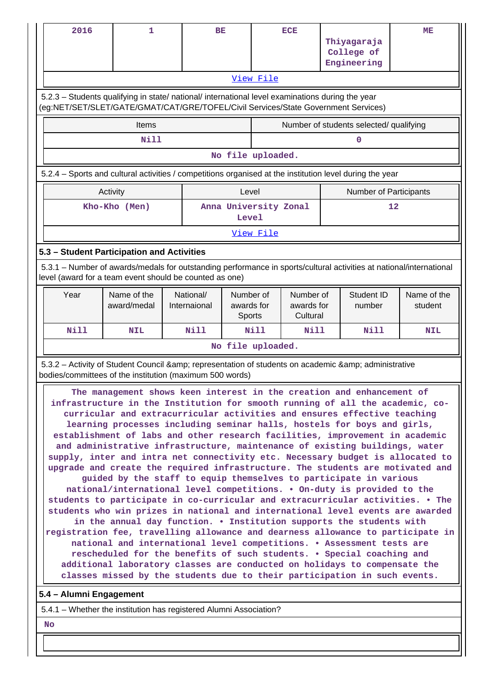| 2016                                                                                                                                                                                                                                                                                                                                                                                                                                                                                                                                                                                                                                                                                                                                                                                                                                                                                                                                                                                                                                                                                                                                                                                                                                                                                                                                                                                                                                                                                                                                                                                                               | 1                                                                                                                                                                              |  | BE                        |                                   |           | <b>ECE</b>                          |  | Thiyagaraja<br>College of<br>Engineering | ME                     |
|--------------------------------------------------------------------------------------------------------------------------------------------------------------------------------------------------------------------------------------------------------------------------------------------------------------------------------------------------------------------------------------------------------------------------------------------------------------------------------------------------------------------------------------------------------------------------------------------------------------------------------------------------------------------------------------------------------------------------------------------------------------------------------------------------------------------------------------------------------------------------------------------------------------------------------------------------------------------------------------------------------------------------------------------------------------------------------------------------------------------------------------------------------------------------------------------------------------------------------------------------------------------------------------------------------------------------------------------------------------------------------------------------------------------------------------------------------------------------------------------------------------------------------------------------------------------------------------------------------------------|--------------------------------------------------------------------------------------------------------------------------------------------------------------------------------|--|---------------------------|-----------------------------------|-----------|-------------------------------------|--|------------------------------------------|------------------------|
| View File<br>5.2.3 – Students qualifying in state/ national/ international level examinations during the year<br>(eg:NET/SET/SLET/GATE/GMAT/CAT/GRE/TOFEL/Civil Services/State Government Services)                                                                                                                                                                                                                                                                                                                                                                                                                                                                                                                                                                                                                                                                                                                                                                                                                                                                                                                                                                                                                                                                                                                                                                                                                                                                                                                                                                                                                |                                                                                                                                                                                |  |                           |                                   |           |                                     |  |                                          |                        |
|                                                                                                                                                                                                                                                                                                                                                                                                                                                                                                                                                                                                                                                                                                                                                                                                                                                                                                                                                                                                                                                                                                                                                                                                                                                                                                                                                                                                                                                                                                                                                                                                                    | Items                                                                                                                                                                          |  |                           |                                   |           |                                     |  | Number of students selected/ qualifying  |                        |
|                                                                                                                                                                                                                                                                                                                                                                                                                                                                                                                                                                                                                                                                                                                                                                                                                                                                                                                                                                                                                                                                                                                                                                                                                                                                                                                                                                                                                                                                                                                                                                                                                    | N11                                                                                                                                                                            |  |                           |                                   |           |                                     |  | 0                                        |                        |
| No file uploaded.                                                                                                                                                                                                                                                                                                                                                                                                                                                                                                                                                                                                                                                                                                                                                                                                                                                                                                                                                                                                                                                                                                                                                                                                                                                                                                                                                                                                                                                                                                                                                                                                  |                                                                                                                                                                                |  |                           |                                   |           |                                     |  |                                          |                        |
|                                                                                                                                                                                                                                                                                                                                                                                                                                                                                                                                                                                                                                                                                                                                                                                                                                                                                                                                                                                                                                                                                                                                                                                                                                                                                                                                                                                                                                                                                                                                                                                                                    | 5.2.4 – Sports and cultural activities / competitions organised at the institution level during the year                                                                       |  |                           |                                   |           |                                     |  |                                          |                        |
|                                                                                                                                                                                                                                                                                                                                                                                                                                                                                                                                                                                                                                                                                                                                                                                                                                                                                                                                                                                                                                                                                                                                                                                                                                                                                                                                                                                                                                                                                                                                                                                                                    | Activity                                                                                                                                                                       |  |                           | Level                             |           |                                     |  | <b>Number of Participants</b>            |                        |
|                                                                                                                                                                                                                                                                                                                                                                                                                                                                                                                                                                                                                                                                                                                                                                                                                                                                                                                                                                                                                                                                                                                                                                                                                                                                                                                                                                                                                                                                                                                                                                                                                    | Kho-Kho (Men)                                                                                                                                                                  |  |                           | Level                             |           | Anna University Zonal               |  |                                          | 12                     |
|                                                                                                                                                                                                                                                                                                                                                                                                                                                                                                                                                                                                                                                                                                                                                                                                                                                                                                                                                                                                                                                                                                                                                                                                                                                                                                                                                                                                                                                                                                                                                                                                                    |                                                                                                                                                                                |  |                           |                                   | View File |                                     |  |                                          |                        |
|                                                                                                                                                                                                                                                                                                                                                                                                                                                                                                                                                                                                                                                                                                                                                                                                                                                                                                                                                                                                                                                                                                                                                                                                                                                                                                                                                                                                                                                                                                                                                                                                                    | 5.3 - Student Participation and Activities                                                                                                                                     |  |                           |                                   |           |                                     |  |                                          |                        |
|                                                                                                                                                                                                                                                                                                                                                                                                                                                                                                                                                                                                                                                                                                                                                                                                                                                                                                                                                                                                                                                                                                                                                                                                                                                                                                                                                                                                                                                                                                                                                                                                                    | 5.3.1 – Number of awards/medals for outstanding performance in sports/cultural activities at national/international<br>level (award for a team event should be counted as one) |  |                           |                                   |           |                                     |  |                                          |                        |
| Year                                                                                                                                                                                                                                                                                                                                                                                                                                                                                                                                                                                                                                                                                                                                                                                                                                                                                                                                                                                                                                                                                                                                                                                                                                                                                                                                                                                                                                                                                                                                                                                                               | Name of the<br>award/medal                                                                                                                                                     |  | National/<br>Internaional | Number of<br>awards for<br>Sports |           | Number of<br>awards for<br>Cultural |  | Student ID<br>number                     | Name of the<br>student |
| Nill                                                                                                                                                                                                                                                                                                                                                                                                                                                                                                                                                                                                                                                                                                                                                                                                                                                                                                                                                                                                                                                                                                                                                                                                                                                                                                                                                                                                                                                                                                                                                                                                               | <b>NIL</b>                                                                                                                                                                     |  | Nill                      |                                   | Nill      | Nill                                |  | Nill                                     | <b>NIL</b>             |
|                                                                                                                                                                                                                                                                                                                                                                                                                                                                                                                                                                                                                                                                                                                                                                                                                                                                                                                                                                                                                                                                                                                                                                                                                                                                                                                                                                                                                                                                                                                                                                                                                    |                                                                                                                                                                                |  |                           | No file uploaded.                 |           |                                     |  |                                          |                        |
|                                                                                                                                                                                                                                                                                                                                                                                                                                                                                                                                                                                                                                                                                                                                                                                                                                                                                                                                                                                                                                                                                                                                                                                                                                                                                                                                                                                                                                                                                                                                                                                                                    |                                                                                                                                                                                |  |                           |                                   |           |                                     |  |                                          |                        |
| 5.3.2 - Activity of Student Council & amp; representation of students on academic & amp; administrative<br>bodies/committees of the institution (maximum 500 words)<br>The management shows keen interest in the creation and enhancement of<br>infrastructure in the Institution for smooth running of all the academic, co-<br>curricular and extracurricular activities and ensures effective teaching<br>learning processes including seminar halls, hostels for boys and girls,<br>establishment of labs and other research facilities, improvement in academic<br>and administrative infrastructure, maintenance of existing buildings, water<br>supply, inter and intra net connectivity etc. Necessary budget is allocated to<br>upgrade and create the required infrastructure. The students are motivated and<br>guided by the staff to equip themselves to participate in various<br>national/international level competitions. • On-duty is provided to the<br>students to participate in co-curricular and extracurricular activities. . The<br>students who win prizes in national and international level events are awarded<br>in the annual day function. . Institution supports the students with<br>registration fee, travelling allowance and dearness allowance to participate in<br>national and international level competitions. . Assessment tests are<br>rescheduled for the benefits of such students. . Special coaching and<br>additional laboratory classes are conducted on holidays to compensate the<br>classes missed by the students due to their participation in such events. |                                                                                                                                                                                |  |                           |                                   |           |                                     |  |                                          |                        |
| 5.4 - Alumni Engagement                                                                                                                                                                                                                                                                                                                                                                                                                                                                                                                                                                                                                                                                                                                                                                                                                                                                                                                                                                                                                                                                                                                                                                                                                                                                                                                                                                                                                                                                                                                                                                                            |                                                                                                                                                                                |  |                           |                                   |           |                                     |  |                                          |                        |
|                                                                                                                                                                                                                                                                                                                                                                                                                                                                                                                                                                                                                                                                                                                                                                                                                                                                                                                                                                                                                                                                                                                                                                                                                                                                                                                                                                                                                                                                                                                                                                                                                    | 5.4.1 – Whether the institution has registered Alumni Association?                                                                                                             |  |                           |                                   |           |                                     |  |                                          |                        |

 **No**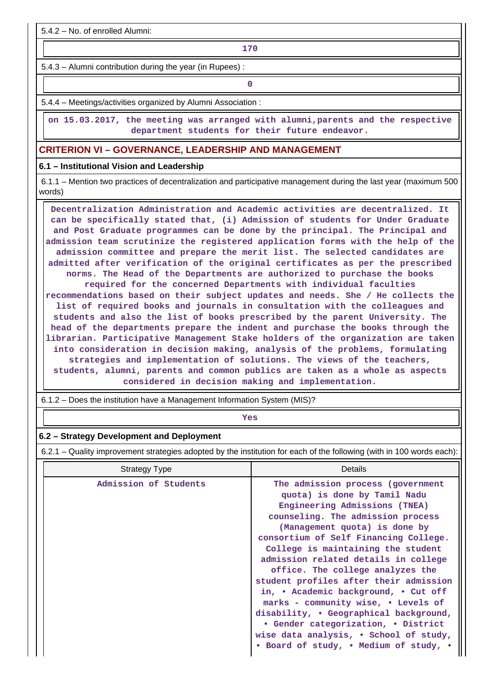5.4.2 – No. of enrolled Alumni:

**170**

5.4.3 – Alumni contribution during the year (in Rupees) :

**0**

5.4.4 – Meetings/activities organized by Alumni Association :

 **on 15.03.2017, the meeting was arranged with alumni,parents and the respective department students for their future endeavor.**

## **CRITERION VI – GOVERNANCE, LEADERSHIP AND MANAGEMENT**

### **6.1 – Institutional Vision and Leadership**

 6.1.1 – Mention two practices of decentralization and participative management during the last year (maximum 500 words)

 **Decentralization Administration and Academic activities are decentralized. It can be specifically stated that, (i) Admission of students for Under Graduate and Post Graduate programmes can be done by the principal. The Principal and admission team scrutinize the registered application forms with the help of the admission committee and prepare the merit list. The selected candidates are admitted after verification of the original certificates as per the prescribed norms. The Head of the Departments are authorized to purchase the books required for the concerned Departments with individual faculties recommendations based on their subject updates and needs. She / He collects the list of required books and journals in consultation with the colleagues and students and also the list of books prescribed by the parent University. The head of the departments prepare the indent and purchase the books through the librarian. Participative Management Stake holders of the organization are taken into consideration in decision making, analysis of the problems, formulating strategies and implementation of solutions. The views of the teachers, students, alumni, parents and common publics are taken as a whole as aspects considered in decision making and implementation.**

6.1.2 – Does the institution have a Management Information System (MIS)?

*Yes* 

### **6.2 – Strategy Development and Deployment**

6.2.1 – Quality improvement strategies adopted by the institution for each of the following (with in 100 words each):

| Strategy Type         | Details                                                                                                                                                                                                                                                                                                                                                                                                                                                                                                                                                                                                                           |
|-----------------------|-----------------------------------------------------------------------------------------------------------------------------------------------------------------------------------------------------------------------------------------------------------------------------------------------------------------------------------------------------------------------------------------------------------------------------------------------------------------------------------------------------------------------------------------------------------------------------------------------------------------------------------|
| Admission of Students | The admission process (government<br>quota) is done by Tamil Nadu<br>Engineering Admissions (TNEA)<br>counseling. The admission process<br>(Management quota) is done by<br>consortium of Self Financing College.<br>College is maintaining the student<br>admission related details in college<br>office. The college analyzes the<br>student profiles after their admission<br>in, . Academic background, . Cut off<br>marks - community wise, • Levels of<br>disability, • Geographical background,<br>• Gender categorization, • District<br>wise data analysis, . School of study,<br>• Board of study, • Medium of study, • |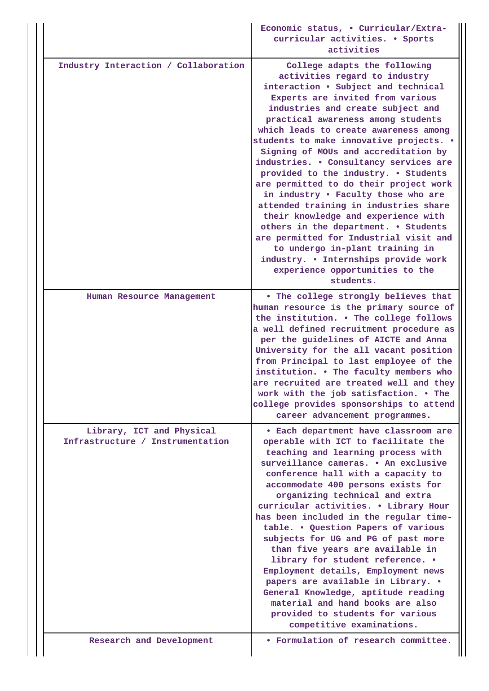|                                                               | Economic status, . Curricular/Extra-<br>curricular activities. . Sports<br>activities                                                                                                                                                                                                                                                                                                                                                                                                                                                                                                                                                                                                                                                                                                                           |
|---------------------------------------------------------------|-----------------------------------------------------------------------------------------------------------------------------------------------------------------------------------------------------------------------------------------------------------------------------------------------------------------------------------------------------------------------------------------------------------------------------------------------------------------------------------------------------------------------------------------------------------------------------------------------------------------------------------------------------------------------------------------------------------------------------------------------------------------------------------------------------------------|
| Industry Interaction / Collaboration                          | College adapts the following<br>activities regard to industry<br>interaction . Subject and technical<br>Experts are invited from various<br>industries and create subject and<br>practical awareness among students<br>which leads to create awareness among<br>students to make innovative projects. .<br>Signing of MOUs and accreditation by<br>industries. . Consultancy services are<br>provided to the industry. . Students<br>are permitted to do their project work<br>in industry . Faculty those who are<br>attended training in industries share<br>their knowledge and experience with<br>others in the department. . Students<br>are permitted for Industrial visit and<br>to undergo in-plant training in<br>industry. . Internships provide work<br>experience opportunities to the<br>students. |
| Human Resource Management                                     | . The college strongly believes that<br>human resource is the primary source of<br>the institution. . The college follows<br>a well defined recruitment procedure as<br>per the guidelines of AICTE and Anna<br>University for the all vacant position<br>from Principal to last employee of the<br>institution. . The faculty members who<br>are recruited are treated well and they<br>work with the job satisfaction. . The<br>college provides sponsorships to attend<br>career advancement programmes.                                                                                                                                                                                                                                                                                                     |
| Library, ICT and Physical<br>Infrastructure / Instrumentation | • Each department have classroom are<br>operable with ICT to facilitate the<br>teaching and learning process with<br>surveillance cameras. • An exclusive<br>conference hall with a capacity to<br>accommodate 400 persons exists for<br>organizing technical and extra<br>curricular activities. . Library Hour<br>has been included in the regular time-<br>table. . Question Papers of various<br>subjects for UG and PG of past more<br>than five years are available in<br>library for student reference. .<br>Employment details, Employment news<br>papers are available in Library. .<br>General Knowledge, aptitude reading<br>material and hand books are also<br>provided to students for various<br>competitive examinations.                                                                       |
| Research and Development                                      | • Formulation of research committee.                                                                                                                                                                                                                                                                                                                                                                                                                                                                                                                                                                                                                                                                                                                                                                            |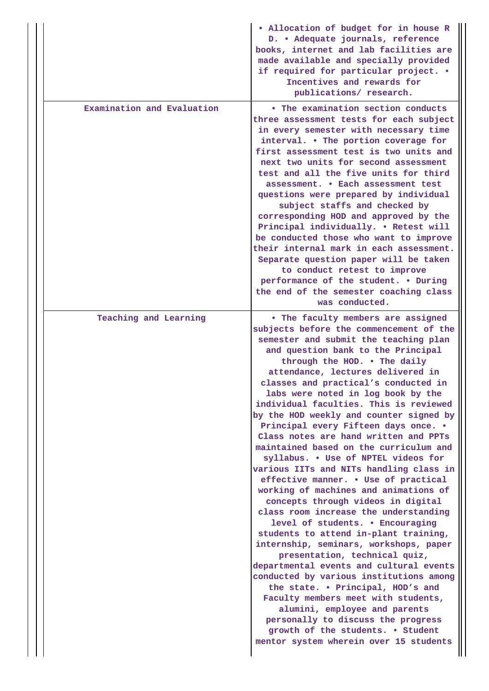|                            | . Allocation of budget for in house R<br>D. • Adequate journals, reference<br>books, internet and lab facilities are<br>made available and specially provided<br>if required for particular project. .<br>Incentives and rewards for<br>publications/ research.                                                                                                                                                                                                                                                                                                                                                                                                                                                                                                                                                                                                                                                                                                                                                                                                                                                                                                                                                                                                   |
|----------------------------|-------------------------------------------------------------------------------------------------------------------------------------------------------------------------------------------------------------------------------------------------------------------------------------------------------------------------------------------------------------------------------------------------------------------------------------------------------------------------------------------------------------------------------------------------------------------------------------------------------------------------------------------------------------------------------------------------------------------------------------------------------------------------------------------------------------------------------------------------------------------------------------------------------------------------------------------------------------------------------------------------------------------------------------------------------------------------------------------------------------------------------------------------------------------------------------------------------------------------------------------------------------------|
| Examination and Evaluation | • The examination section conducts<br>three assessment tests for each subject<br>in every semester with necessary time<br>interval. • The portion coverage for<br>first assessment test is two units and<br>next two units for second assessment<br>test and all the five units for third<br>assessment. . Each assessment test<br>questions were prepared by individual<br>subject staffs and checked by<br>corresponding HOD and approved by the<br>Principal individually. . Retest will<br>be conducted those who want to improve<br>their internal mark in each assessment.<br>Separate question paper will be taken<br>to conduct retest to improve<br>performance of the student. . During<br>the end of the semester coaching class<br>was conducted.                                                                                                                                                                                                                                                                                                                                                                                                                                                                                                     |
| Teaching and Learning      | • The faculty members are assigned<br>subjects before the commencement of the<br>semester and submit the teaching plan<br>and question bank to the Principal<br>through the HOD. . The daily<br>attendance, lectures delivered in<br>classes and practical's conducted in<br>labs were noted in log book by the<br>individual faculties. This is reviewed<br>by the HOD weekly and counter signed by<br>Principal every Fifteen days once. .<br>Class notes are hand written and PPTs<br>maintained based on the curriculum and<br>syllabus. . Use of NPTEL videos for<br>various IITs and NITs handling class in<br>effective manner. . Use of practical<br>working of machines and animations of<br>concepts through videos in digital<br>class room increase the understanding<br>level of students. . Encouraging<br>students to attend in-plant training,<br>internship, seminars, workshops, paper<br>presentation, technical quiz,<br>departmental events and cultural events<br>conducted by various institutions among<br>the state. . Principal, HOD's and<br>Faculty members meet with students,<br>alumini, employee and parents<br>personally to discuss the progress<br>growth of the students. . Student<br>mentor system wherein over 15 students |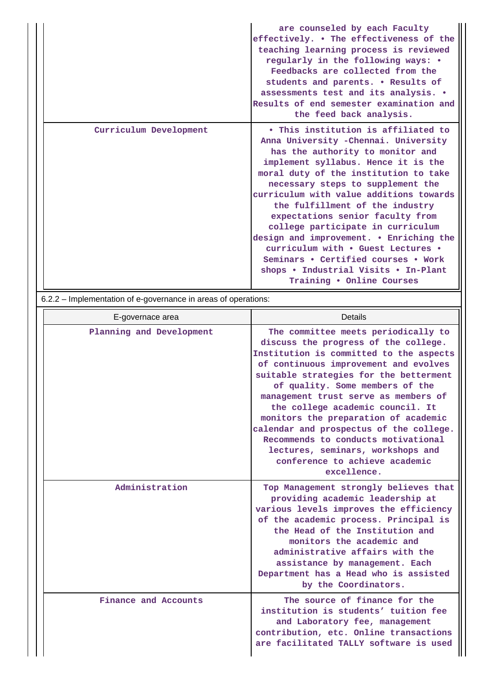|                        | are counseled by each Faculty<br>effectively. . The effectiveness of the<br>teaching learning process is reviewed<br>regularly in the following ways: •<br>Feedbacks are collected from the<br>students and parents. . Results of<br>assessments test and its analysis. .<br>Results of end semester examination and<br>the feed back analysis.                                                                                                                                                                                                                                          |
|------------------------|------------------------------------------------------------------------------------------------------------------------------------------------------------------------------------------------------------------------------------------------------------------------------------------------------------------------------------------------------------------------------------------------------------------------------------------------------------------------------------------------------------------------------------------------------------------------------------------|
| Curriculum Development | • This institution is affiliated to<br>Anna University -Chennai. University<br>has the authority to monitor and<br>implement syllabus. Hence it is the<br>moral duty of the institution to take<br>necessary steps to supplement the<br>curriculum with value additions towards<br>the fulfillment of the industry<br>expectations senior faculty from<br>college participate in curriculum<br>design and improvement. • Enriching the<br>curriculum with . Guest Lectures .<br>Seminars . Certified courses . Work<br>shops • Industrial Visits • In-Plant<br>Training . Online Courses |

6.2.2 – Implementation of e-governance in areas of operations:

| E-governace area         | Details                                                                                                                                                                                                                                                                                                                                                                                                                                                                                                                                  |
|--------------------------|------------------------------------------------------------------------------------------------------------------------------------------------------------------------------------------------------------------------------------------------------------------------------------------------------------------------------------------------------------------------------------------------------------------------------------------------------------------------------------------------------------------------------------------|
| Planning and Development | The committee meets periodically to<br>discuss the progress of the college.<br>Institution is committed to the aspects<br>of continuous improvement and evolves<br>suitable strategies for the betterment<br>of quality. Some members of the<br>management trust serve as members of<br>the college academic council. It<br>monitors the preparation of academic<br>calendar and prospectus of the college.<br>Recommends to conducts motivational<br>lectures, seminars, workshops and<br>conference to achieve academic<br>excellence. |
| Administration           | Top Management strongly believes that<br>providing academic leadership at<br>various levels improves the efficiency<br>of the academic process. Principal is<br>the Head of the Institution and<br>monitors the academic and<br>administrative affairs with the<br>assistance by management. Each<br>Department has a Head who is assisted<br>by the Coordinators.                                                                                                                                                                       |
| Finance and Accounts     | The source of finance for the<br>institution is students' tuition fee<br>and Laboratory fee, management<br>contribution, etc. Online transactions<br>are facilitated TALLY software is used                                                                                                                                                                                                                                                                                                                                              |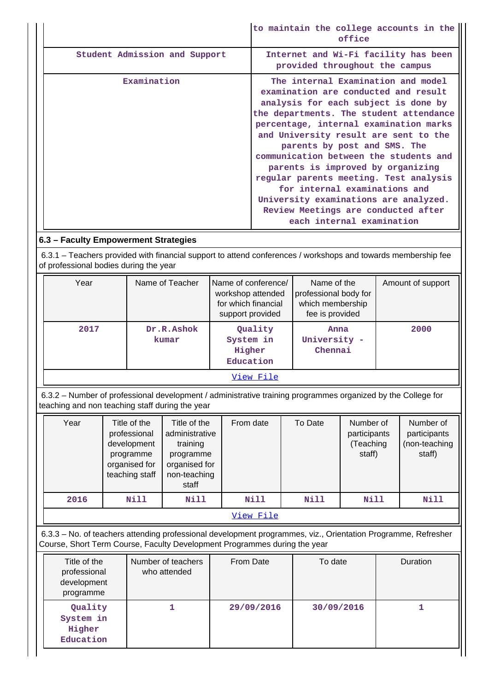|                               | to maintain the college accounts in the<br>office                                                                                                                                                                                                                                                                                                                                                                                                                                                                                                       |
|-------------------------------|---------------------------------------------------------------------------------------------------------------------------------------------------------------------------------------------------------------------------------------------------------------------------------------------------------------------------------------------------------------------------------------------------------------------------------------------------------------------------------------------------------------------------------------------------------|
| Student Admission and Support | Internet and Wi-Fi facility has been<br>provided throughout the campus                                                                                                                                                                                                                                                                                                                                                                                                                                                                                  |
| Examination                   | The internal Examination and model<br>examination are conducted and result<br>analysis for each subject is done by<br>the departments. The student attendance<br>percentage, internal examination marks<br>and University result are sent to the<br>parents by post and SMS. The<br>communication between the students and<br>parents is improved by organizing<br>regular parents meeting. Test analysis<br>for internal examinations and<br>University examinations are analyzed.<br>Review Meetings are conducted after<br>each internal examination |

# **6.3 – Faculty Empowerment Strategies**

 6.3.1 – Teachers provided with financial support to attend conferences / workshops and towards membership fee of professional bodies during the year

| Year | Name of Teacher     | Name of conference/<br>workshop attended<br>for which financial<br>support provided | Name of the<br>professional body for<br>which membership<br>fee is provided | Amount of support |
|------|---------------------|-------------------------------------------------------------------------------------|-----------------------------------------------------------------------------|-------------------|
| 2017 | Dr.R.Ashok<br>kumar | Quality<br>System in<br>Higher<br>Education                                         | Anna<br>University -<br>Chennai                                             | 2000              |
|      |                     | View File                                                                           |                                                                             |                   |

 6.3.2 – Number of professional development / administrative training programmes organized by the College for teaching and non teaching staff during the year

| Year | Title of the<br>professional<br>development<br>programme<br>organised for<br>teaching staff | Title of the<br>administrative<br>training<br>programme<br>organised for<br>non-teaching<br>staff | From date   | To Date | Number of<br>participants<br>(Teaching<br>staff) | Number of<br>participants<br>(non-teaching<br>staff) |
|------|---------------------------------------------------------------------------------------------|---------------------------------------------------------------------------------------------------|-------------|---------|--------------------------------------------------|------------------------------------------------------|
| 2016 | Nill                                                                                        | Nill                                                                                              | <b>Nill</b> | Nill    | Nill                                             | Nill                                                 |
|      |                                                                                             |                                                                                                   | View File   |         |                                                  |                                                      |

 6.3.3 – No. of teachers attending professional development programmes, viz., Orientation Programme, Refresher Course, Short Term Course, Faculty Development Programmes during the year

| Title of the<br>professional<br>development<br>programme | Number of teachers<br>who attended | <b>From Date</b> | To date    | <b>Duration</b> |
|----------------------------------------------------------|------------------------------------|------------------|------------|-----------------|
| Quality<br>System in<br>Higher<br>Education              |                                    | 29/09/2016       | 30/09/2016 |                 |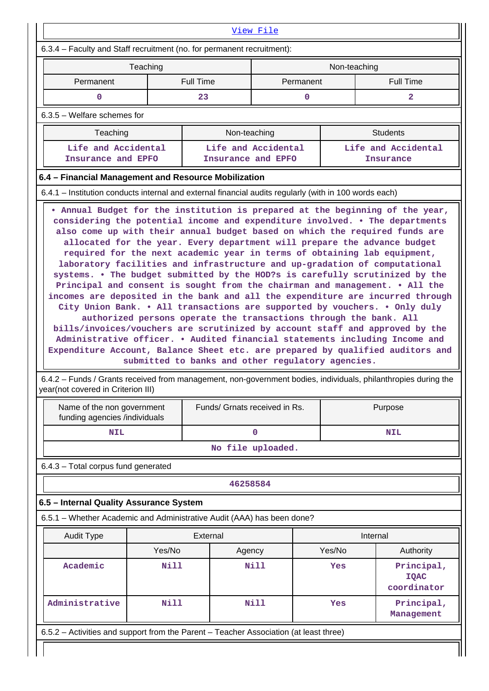| 6.3.4 – Faculty and Staff recruitment (no. for permanent recruitment):                                            |                               |                                                                                                                        |                                           |                  |                                                                                                                                                                                                                                                                                                                                                                                                                                                                                                                                 |  |
|-------------------------------------------------------------------------------------------------------------------|-------------------------------|------------------------------------------------------------------------------------------------------------------------|-------------------------------------------|------------------|---------------------------------------------------------------------------------------------------------------------------------------------------------------------------------------------------------------------------------------------------------------------------------------------------------------------------------------------------------------------------------------------------------------------------------------------------------------------------------------------------------------------------------|--|
|                                                                                                                   | Teaching                      |                                                                                                                        |                                           | Non-teaching     |                                                                                                                                                                                                                                                                                                                                                                                                                                                                                                                                 |  |
| Permanent                                                                                                         | Permanent<br><b>Full Time</b> |                                                                                                                        |                                           | <b>Full Time</b> |                                                                                                                                                                                                                                                                                                                                                                                                                                                                                                                                 |  |
| 0                                                                                                                 |                               | 23                                                                                                                     | 0                                         |                  | $\overline{a}$                                                                                                                                                                                                                                                                                                                                                                                                                                                                                                                  |  |
| $6.3.5$ – Welfare schemes for                                                                                     |                               |                                                                                                                        |                                           |                  |                                                                                                                                                                                                                                                                                                                                                                                                                                                                                                                                 |  |
| Teaching                                                                                                          |                               |                                                                                                                        | Non-teaching                              |                  | <b>Students</b>                                                                                                                                                                                                                                                                                                                                                                                                                                                                                                                 |  |
| Life and Accidental<br>Insurance and EPFO                                                                         |                               |                                                                                                                        | Life and Accidental<br>Insurance and EPFO |                  | Life and Accidental<br>Insurance                                                                                                                                                                                                                                                                                                                                                                                                                                                                                                |  |
| 6.4 - Financial Management and Resource Mobilization                                                              |                               |                                                                                                                        |                                           |                  |                                                                                                                                                                                                                                                                                                                                                                                                                                                                                                                                 |  |
| 6.4.1 – Institution conducts internal and external financial audits regularly (with in 100 words each)            |                               |                                                                                                                        |                                           |                  |                                                                                                                                                                                                                                                                                                                                                                                                                                                                                                                                 |  |
|                                                                                                                   |                               |                                                                                                                        |                                           |                  | Principal and consent is sought from the chairman and management. • All the                                                                                                                                                                                                                                                                                                                                                                                                                                                     |  |
|                                                                                                                   |                               | authorized persons operate the transactions through the bank. All<br>submitted to banks and other regulatory agencies. |                                           |                  | incomes are deposited in the bank and all the expenditure are incurred through<br>City Union Bank. . All transactions are supported by vouchers. . Only duly<br>bills/invoices/vouchers are scrutinized by account staff and approved by the<br>Administrative officer. • Audited financial statements including Income and<br>Expenditure Account, Balance Sheet etc. are prepared by qualified auditors and<br>6.4.2 – Funds / Grants received from management, non-government bodies, individuals, philanthropies during the |  |
| Name of the non government                                                                                        |                               | Funds/ Grnats received in Rs.                                                                                          |                                           |                  | Purpose                                                                                                                                                                                                                                                                                                                                                                                                                                                                                                                         |  |
| year(not covered in Criterion III)<br>funding agencies /individuals<br><b>NIL</b>                                 |                               |                                                                                                                        | 0                                         |                  | <b>NIL</b>                                                                                                                                                                                                                                                                                                                                                                                                                                                                                                                      |  |
|                                                                                                                   |                               |                                                                                                                        | No file uploaded.                         |                  |                                                                                                                                                                                                                                                                                                                                                                                                                                                                                                                                 |  |
|                                                                                                                   |                               |                                                                                                                        |                                           |                  |                                                                                                                                                                                                                                                                                                                                                                                                                                                                                                                                 |  |
| 6.4.3 - Total corpus fund generated                                                                               |                               | 46258584                                                                                                               |                                           |                  |                                                                                                                                                                                                                                                                                                                                                                                                                                                                                                                                 |  |
|                                                                                                                   |                               |                                                                                                                        |                                           |                  |                                                                                                                                                                                                                                                                                                                                                                                                                                                                                                                                 |  |
|                                                                                                                   |                               |                                                                                                                        |                                           |                  |                                                                                                                                                                                                                                                                                                                                                                                                                                                                                                                                 |  |
| <b>Audit Type</b>                                                                                                 |                               | External                                                                                                               |                                           |                  | Internal                                                                                                                                                                                                                                                                                                                                                                                                                                                                                                                        |  |
| 6.5 - Internal Quality Assurance System<br>6.5.1 - Whether Academic and Administrative Audit (AAA) has been done? | Yes/No                        | Agency                                                                                                                 |                                           | Yes/No           | Authority                                                                                                                                                                                                                                                                                                                                                                                                                                                                                                                       |  |
| Academic                                                                                                          | <b>Nill</b>                   |                                                                                                                        | <b>Nill</b>                               | Yes              | Principal,<br><b>IQAC</b><br>coordinator                                                                                                                                                                                                                                                                                                                                                                                                                                                                                        |  |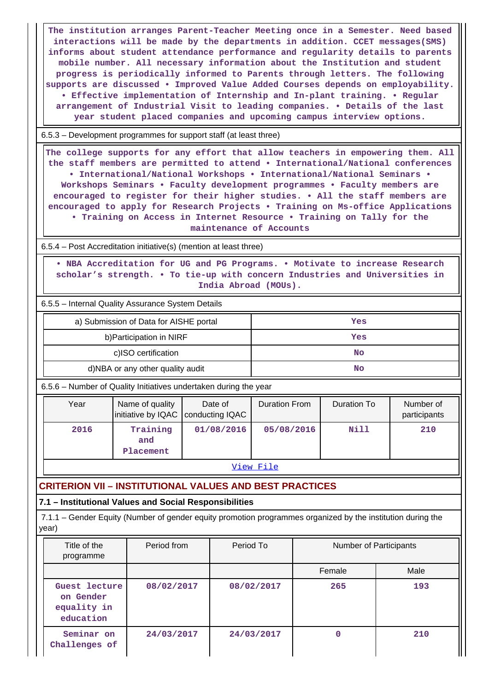**The institution arranges Parent-Teacher Meeting once in a Semester. Need based interactions will be made by the departments in addition. CCET messages(SMS) informs about student attendance performance and regularity details to parents mobile number. All necessary information about the Institution and student progress is periodically informed to Parents through letters. The following supports are discussed • Improved Value Added Courses depends on employability. • Effective implementation of Internship and In-plant training. • Regular arrangement of Industrial Visit to leading companies. • Details of the last year student placed companies and upcoming campus interview options.**

6.5.3 – Development programmes for support staff (at least three)

 **The college supports for any effort that allow teachers in empowering them. All the staff members are permitted to attend • International/National conferences • International/National Workshops • International/National Seminars • Workshops Seminars • Faculty development programmes • Faculty members are encouraged to register for their higher studies. • All the staff members are encouraged to apply for Research Projects • Training on Ms-office Applications • Training on Access in Internet Resource • Training on Tally for the**

**maintenance of Accounts**

6.5.4 – Post Accreditation initiative(s) (mention at least three)

 **• NBA Accreditation for UG and PG Programs. • Motivate to increase Research scholar's strength. • To tie-up with concern Industries and Universities in India Abroad (MOUs).**

6.5.5 – Internal Quality Assurance System Details

| a) Submission of Data for AISHE portal | Yes |
|----------------------------------------|-----|
| b) Participation in NIRF               | Yes |
| c)ISO certification                    | No  |
| d)NBA or any other quality audit       | No  |

6.5.6 – Number of Quality Initiatives undertaken during the year

| Year | Name of quality<br>initiative by IQAC   conducting IQAC | Date of    | <b>Duration From</b> | Duration To | Number of<br>participants |
|------|---------------------------------------------------------|------------|----------------------|-------------|---------------------------|
| 2016 | Training<br>and<br>Placement                            | 01/08/2016 | 05/08/2016           | Nill        | 210                       |

[View File](https://assessmentonline.naac.gov.in/public/Postacc/Quality_Initiatives_B/17402_Quality_Initiatives_B_1640963788.xlsx)

# **CRITERION VII – INSTITUTIONAL VALUES AND BEST PRACTICES**

### **7.1 – Institutional Values and Social Responsibilities**

 7.1.1 – Gender Equity (Number of gender equity promotion programmes organized by the institution during the year)

| Title of the<br>programme                              | Period from | Period To  | Number of Participants |      |
|--------------------------------------------------------|-------------|------------|------------------------|------|
|                                                        |             |            | Female                 | Male |
| Guest lecture<br>on Gender<br>equality in<br>education | 08/02/2017  | 08/02/2017 | 265                    | 193  |
| Seminar on<br>Challenges of                            | 24/03/2017  | 24/03/2017 | 0                      | 210  |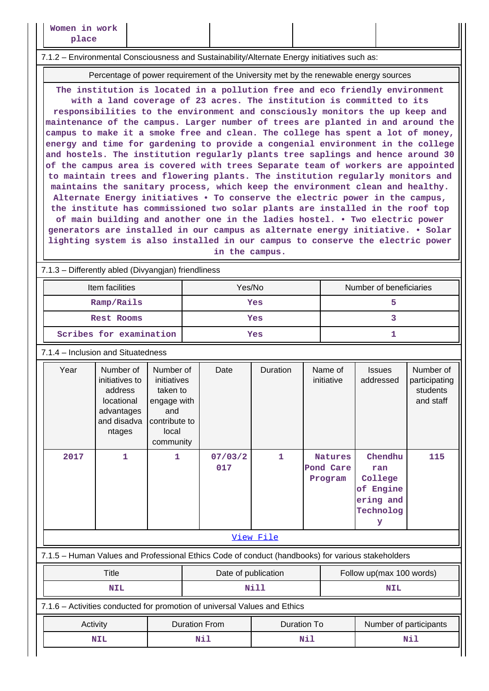#### 7.1.2 – Environmental Consciousness and Sustainability/Alternate Energy initiatives such as:

Percentage of power requirement of the University met by the renewable energy sources

**The institution is located in a pollution free and eco friendly environment with a land coverage of 23 acres. The institution is committed to its responsibilities to the environment and consciously monitors the up keep and maintenance of the campus. Larger number of trees are planted in and around the campus to make it a smoke free and clean. The college has spent a lot of money, energy and time for gardening to provide a congenial environment in the college and hostels. The institution regularly plants tree saplings and hence around 30 of the campus area is covered with trees Separate team of workers are appointed to maintain trees and flowering plants. The institution regularly monitors and maintains the sanitary process, which keep the environment clean and healthy. Alternate Energy initiatives • To conserve the electric power in the campus, the institute has commissioned two solar plants are installed in the roof top of main building and another one in the ladies hostel. • Two electric power generators are installed in our campus as alternate energy initiative. • Solar lighting system is also installed in our campus to conserve the electric power in the campus.**

### 7.1.3 – Differently abled (Divyangjan) friendliness

| Item facilities         | Yes/No | Number of beneficiaries |
|-------------------------|--------|-------------------------|
| Ramp/Rails              | Yes    |                         |
| Rest Rooms              | Yes    |                         |
| Scribes for examination | Yes    |                         |

#### 7.1.4 – Inclusion and Situatedness

|                  | Year                                                                                              | Number of<br>initiatives to<br>address<br>locational<br>advantages<br>and disadva<br>ntages | Number of<br>initiatives<br>taken to<br>engage with<br>and<br>contribute to<br>local<br>community |  | Date                | Duration     |  | Name of<br>initiative                  | <b>Issues</b><br>addressed                                            | Number of<br>participating<br>students<br>and staff |
|------------------|---------------------------------------------------------------------------------------------------|---------------------------------------------------------------------------------------------|---------------------------------------------------------------------------------------------------|--|---------------------|--------------|--|----------------------------------------|-----------------------------------------------------------------------|-----------------------------------------------------|
|                  | 2017                                                                                              | 1                                                                                           | $\mathbf{1}$                                                                                      |  | 07/03/2<br>017      | $\mathbf{1}$ |  | <b>Natures</b><br>Pond Care<br>Program | Chendhu<br>ran<br>College<br>of Engine<br>ering and<br>Technolog<br>У | 115                                                 |
| <u>View File</u> |                                                                                                   |                                                                                             |                                                                                                   |  |                     |              |  |                                        |                                                                       |                                                     |
|                  | 7.1.5 - Human Values and Professional Ethics Code of conduct (handbooks) for various stakeholders |                                                                                             |                                                                                                   |  |                     |              |  |                                        |                                                                       |                                                     |
|                  |                                                                                                   | Title                                                                                       |                                                                                                   |  | Date of publication |              |  |                                        | Follow up(max 100 words)                                              |                                                     |
|                  |                                                                                                   | NIL                                                                                         |                                                                                                   |  |                     | Nill         |  |                                        | <b>NIL</b>                                                            |                                                     |

### 7.1.6 – Activities conducted for promotion of universal Values and Ethics

| Activity   | Duration From | Duration To | Number of participants |
|------------|---------------|-------------|------------------------|
| <b>NIL</b> | Nil           | Nil         | Nil                    |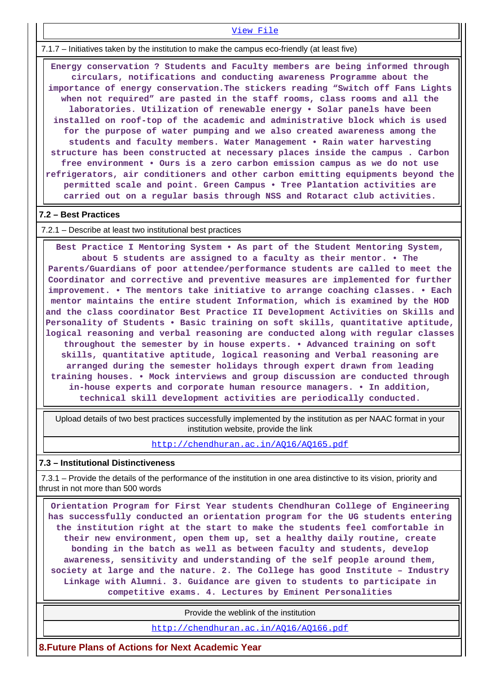7.1.7 – Initiatives taken by the institution to make the campus eco-friendly (at least five)

 **Energy conservation ? Students and Faculty members are being informed through circulars, notifications and conducting awareness Programme about the importance of energy conservation.The stickers reading "Switch off Fans Lights when not required" are pasted in the staff rooms, class rooms and all the laboratories. Utilization of renewable energy • Solar panels have been installed on roof-top of the academic and administrative block which is used for the purpose of water pumping and we also created awareness among the students and faculty members. Water Management • Rain water harvesting structure has been constructed at necessary places inside the campus . Carbon free environment • Ours is a zero carbon emission campus as we do not use refrigerators, air conditioners and other carbon emitting equipments beyond the permitted scale and point. Green Campus • Tree Plantation activities are carried out on a regular basis through NSS and Rotaract club activities.**

[View File](https://assessmentonline.naac.gov.in/public/Postacc/promotion_activities/17402_promotion_activities_1640948680.xlsx)

## **7.2 – Best Practices**

7.2.1 – Describe at least two institutional best practices

 **Best Practice I Mentoring System • As part of the Student Mentoring System, about 5 students are assigned to a faculty as their mentor. • The Parents/Guardians of poor attendee/performance students are called to meet the Coordinator and corrective and preventive measures are implemented for further improvement. • The mentors take initiative to arrange coaching classes. • Each mentor maintains the entire student Information, which is examined by the HOD and the class coordinator Best Practice II Development Activities on Skills and Personality of Students • Basic training on soft skills, quantitative aptitude, logical reasoning and verbal reasoning are conducted along with regular classes throughout the semester by in house experts. • Advanced training on soft skills, quantitative aptitude, logical reasoning and Verbal reasoning are arranged during the semester holidays through expert drawn from leading training houses. • Mock interviews and group discussion are conducted through in-house experts and corporate human resource managers. • In addition, technical skill development activities are periodically conducted.**

 Upload details of two best practices successfully implemented by the institution as per NAAC format in your institution website, provide the link

<http://chendhuran.ac.in/AQ16/AQ165.pdf>

### **7.3 – Institutional Distinctiveness**

 7.3.1 – Provide the details of the performance of the institution in one area distinctive to its vision, priority and thrust in not more than 500 words

 **Orientation Program for First Year students Chendhuran College of Engineering has successfully conducted an orientation program for the UG students entering the institution right at the start to make the students feel comfortable in their new environment, open them up, set a healthy daily routine, create bonding in the batch as well as between faculty and students, develop awareness, sensitivity and understanding of the self people around them, society at large and the nature. 2. The College has good Institute – Industry Linkage with Alumni. 3. Guidance are given to students to participate in competitive exams. 4. Lectures by Eminent Personalities**

Provide the weblink of the institution

<http://chendhuran.ac.in/AQ16/AQ166.pdf>

**8.Future Plans of Actions for Next Academic Year**